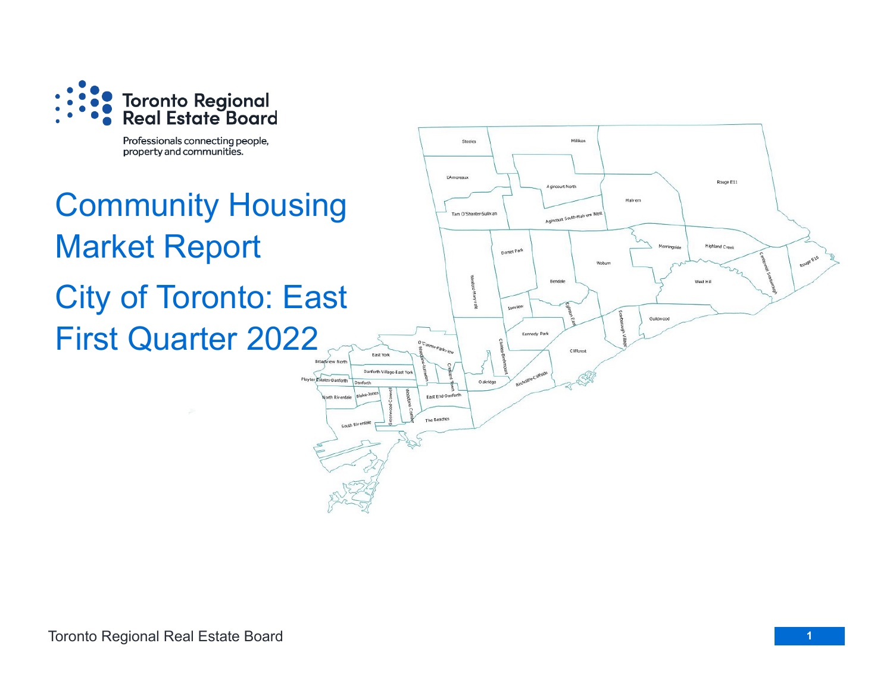

Professionals connecting people, property and communities.

# Community Housing Market Report City of Toronto: East First Quarter 2022

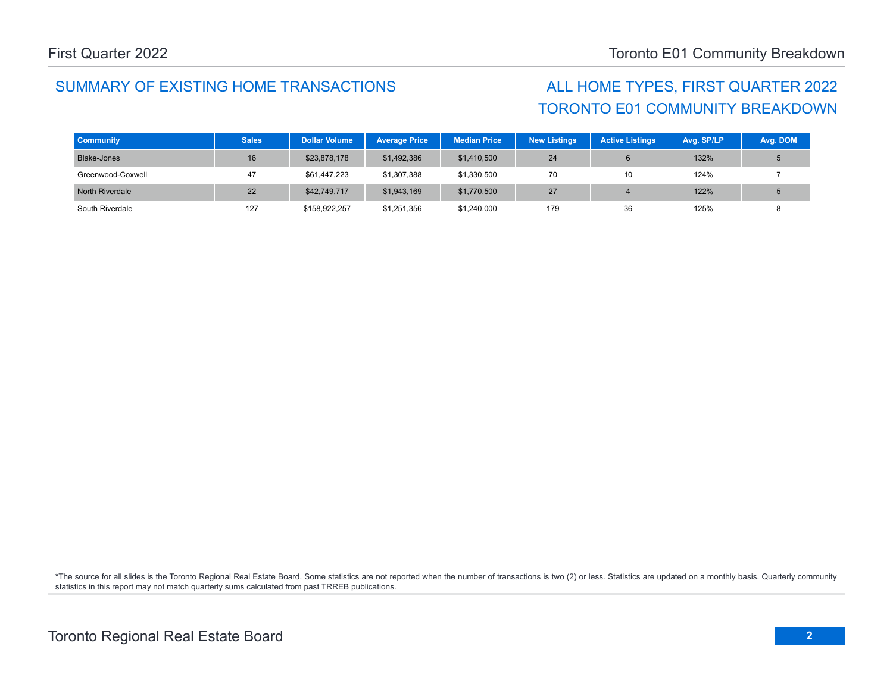# TORONTO E01 COMMUNITY BREAKDOWN

| <b>Community</b>  | <b>Sales</b> | <b>Dollar Volume</b> | <b>Average Price</b> | <b>Median Price</b> | <b>New Listings</b> | <b>Active Listings</b> | Avg. SP/LP | Avg. DOM |
|-------------------|--------------|----------------------|----------------------|---------------------|---------------------|------------------------|------------|----------|
| Blake-Jones       | 16           | \$23,878,178         | \$1,492,386          | \$1,410,500         | 24                  |                        | 132%       |          |
| Greenwood-Coxwell | 47           | \$61,447,223         | \$1,307,388          | \$1,330,500         | 70                  | 10                     | 124%       |          |
| North Riverdale   | 22           | \$42,749,717         | \$1,943,169          | \$1,770,500         | 27                  |                        | 122%       |          |
| South Riverdale   | 127          | \$158,922,257        | \$1,251,356          | \$1,240,000         | 179                 | 36                     | 125%       |          |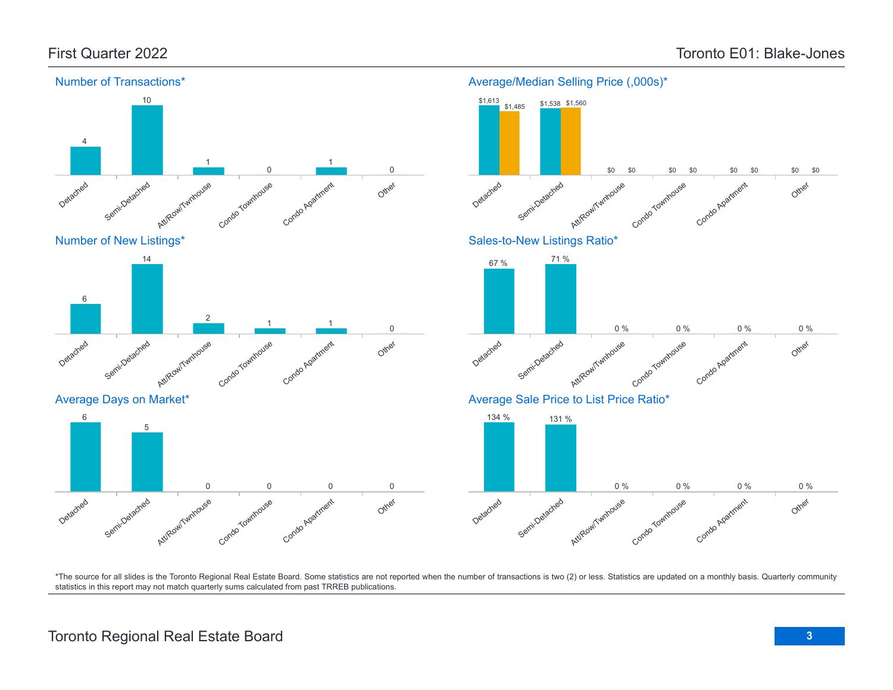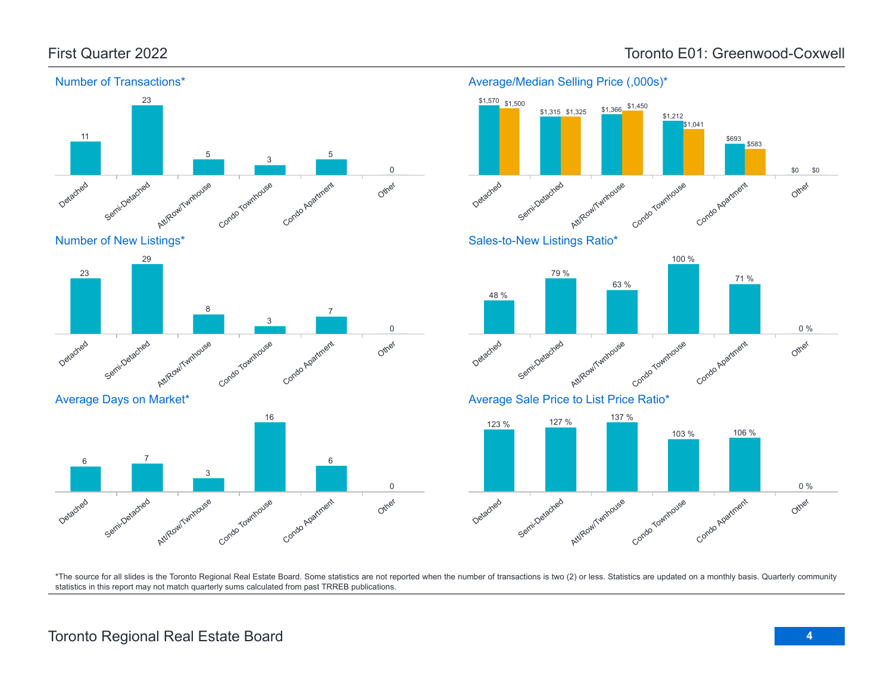

Average/Median Selling Price (,000s)\*



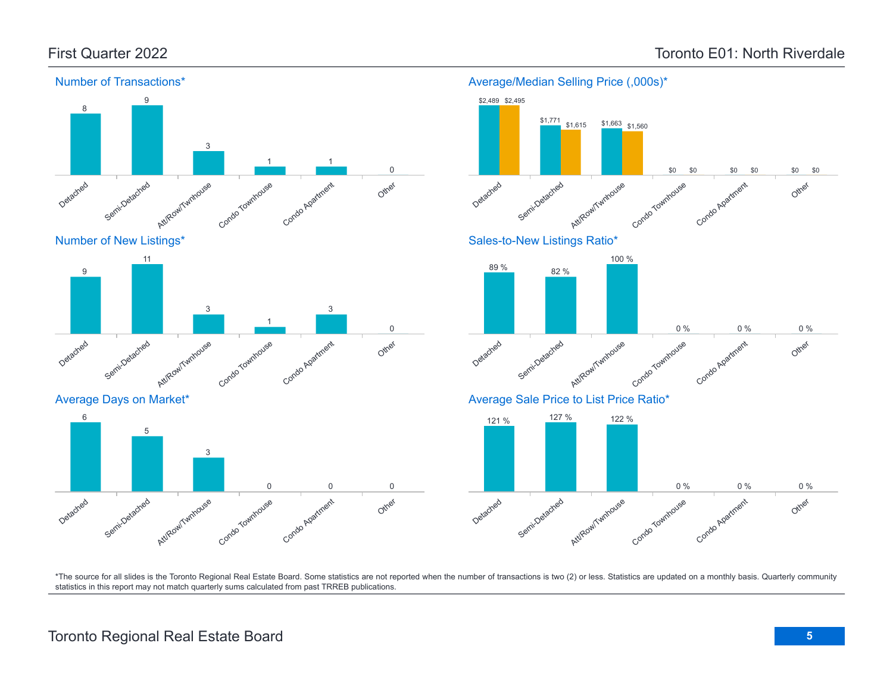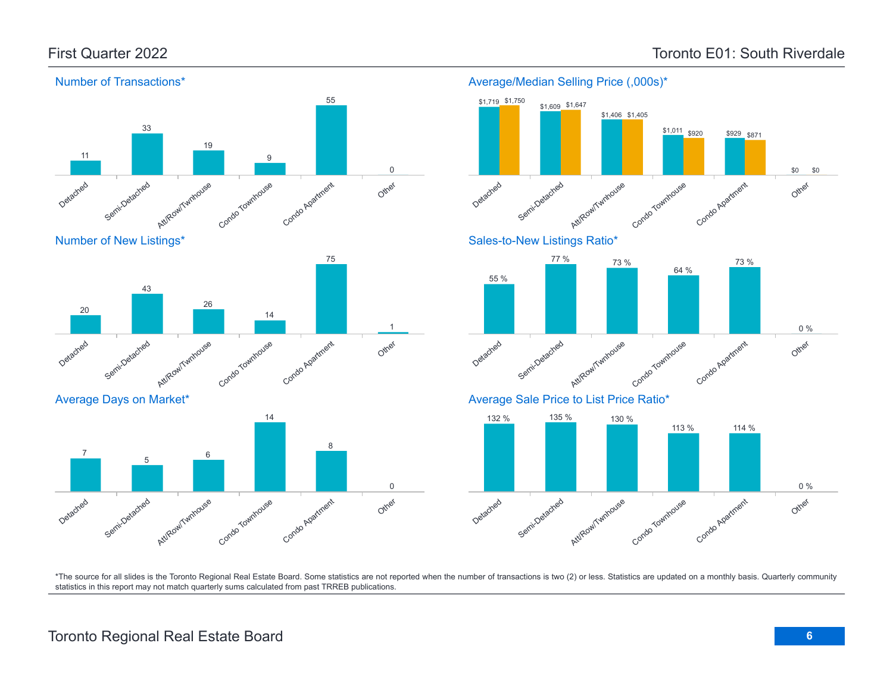

## Toronto Regional Real Estate Board **6**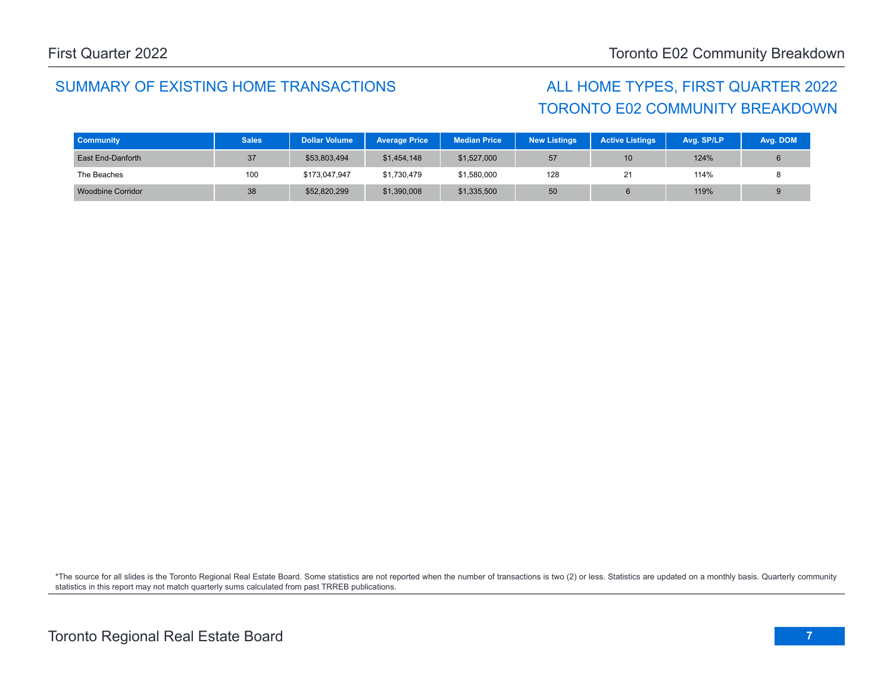# TORONTO E02 COMMUNITY BREAKDOWN

| <b>Community</b>  | <b>Sales</b> | <b>Dollar Volume</b> | <b>Average Price</b> | <b>Median Price</b> | <b>New Listings</b> | <b>Active Listings</b> | Avg. SP/LP | Avg. DOM |
|-------------------|--------------|----------------------|----------------------|---------------------|---------------------|------------------------|------------|----------|
| East End-Danforth | 37           | \$53,803,494         | \$1,454,148          | \$1,527,000         | 57                  | 10                     | 124%       |          |
| The Beaches       | 100          | \$173,047,947        | \$1,730,479          | \$1,580,000         | 128                 | 21                     | 114%       |          |
| Woodbine Corridor | 38           | \$52,820,299         | \$1,390,008          | \$1,335,500         | 50                  |                        | 119%       | 9        |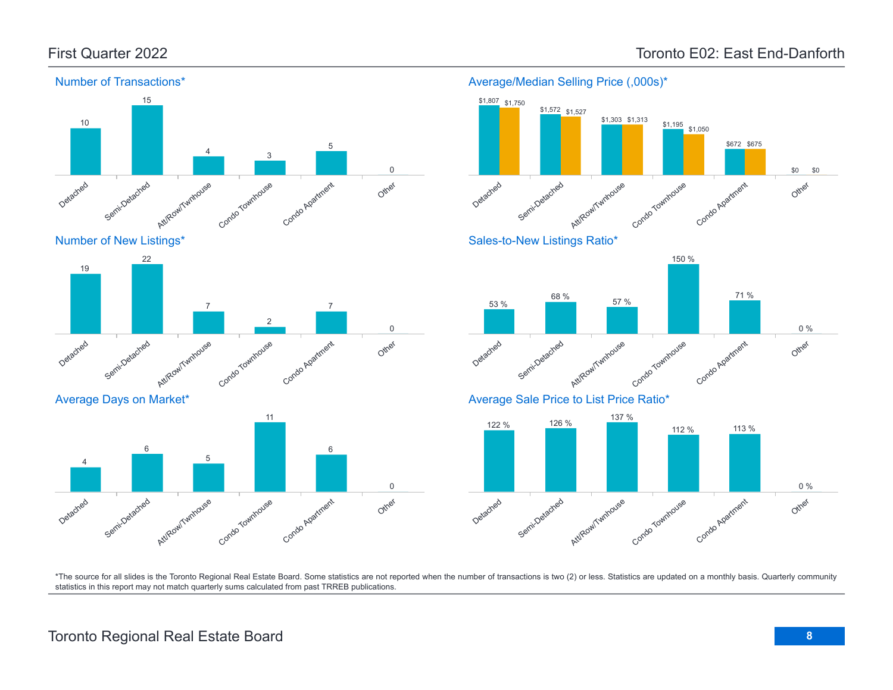

Condo Apartment

Other





Semi-Detached Att/Row/Twnhouse Condo Townhouse Average Days on Market\*

Detached

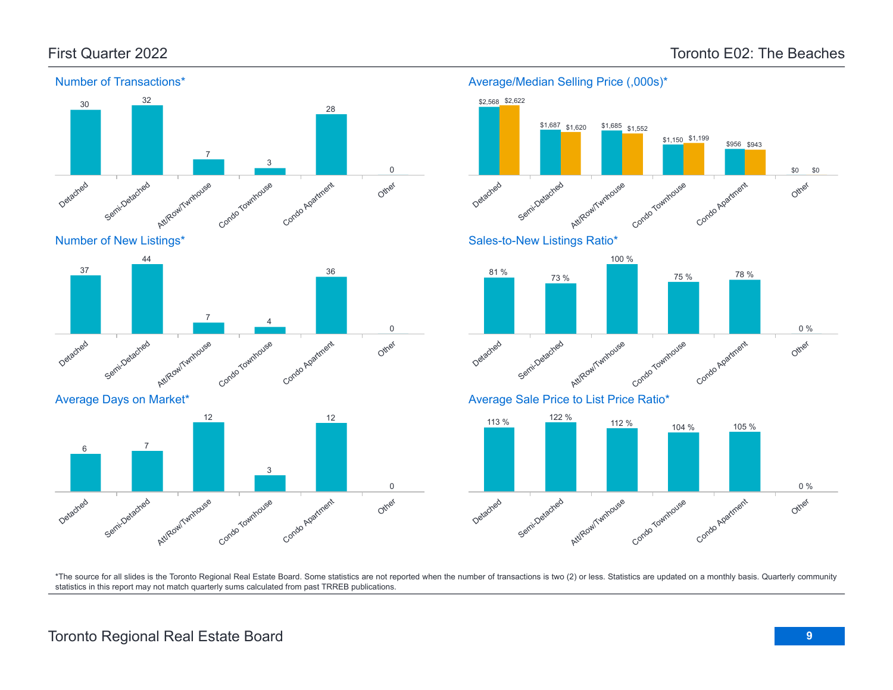

### Average/Median Selling Price (,000s)\*



Detached Semi.Detached Att/Row/Twnhouse Condo Townhouse Condo Agatment Other 0 %

\*The source for all slides is the Toronto Regional Real Estate Board. Some statistics are not reported when the number of transactions is two (2) or less. Statistics are updated on a monthly basis. Quarterly community statistics in this report may not match quarterly sums calculated from past TRREB publications.

Other

Detached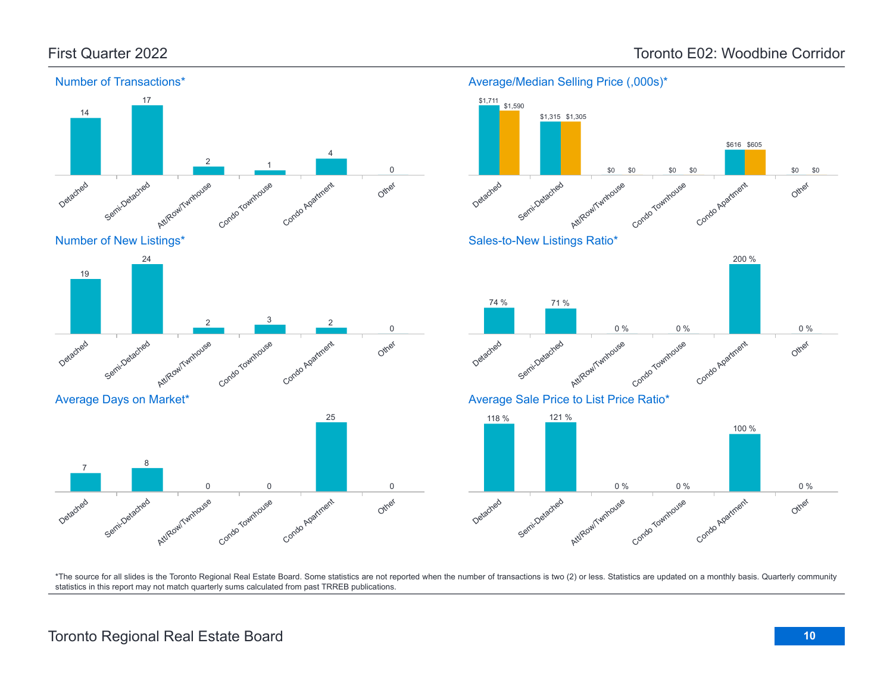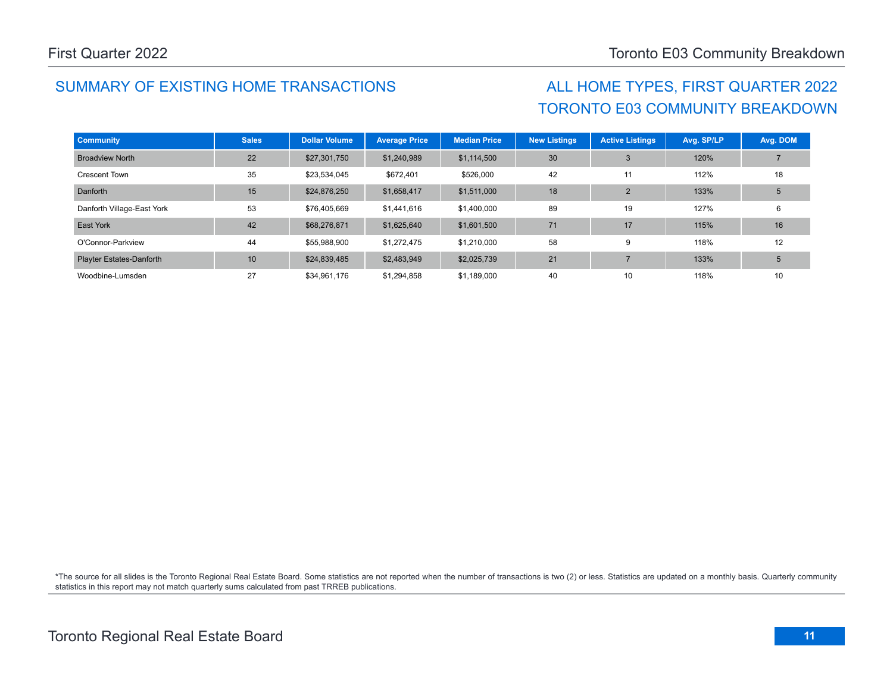# TORONTO E03 COMMUNITY BREAKDOWN

| <b>Community</b>                | <b>Sales</b> | <b>Dollar Volume</b> | <b>Average Price</b> | <b>Median Price</b> | <b>New Listings</b> | <b>Active Listings</b> | Avg. SP/LP | Avg. DOM |
|---------------------------------|--------------|----------------------|----------------------|---------------------|---------------------|------------------------|------------|----------|
| <b>Broadview North</b>          | 22           | \$27,301,750         | \$1,240,989          | \$1,114,500         | 30                  | 3                      | 120%       |          |
| <b>Crescent Town</b>            | 35           | \$23,534,045         | \$672,401            | \$526,000           | 42                  | 11                     | 112%       | 18       |
| Danforth                        | 15           | \$24,876,250         | \$1,658,417          | \$1,511,000         | 18                  | $\overline{2}$         | 133%       | 5        |
| Danforth Village-East York      | 53           | \$76,405,669         | \$1,441,616          | \$1,400,000         | 89                  | 19                     | 127%       | 6        |
| East York                       | 42           | \$68,276,871         | \$1,625,640          | \$1,601,500         | 71                  | 17                     | 115%       | 16       |
| O'Connor-Parkview               | 44           | \$55,988,900         | \$1,272,475          | \$1,210,000         | 58                  | 9                      | 118%       | 12       |
| <b>Playter Estates-Danforth</b> | 10           | \$24,839,485         | \$2,483,949          | \$2,025,739         | 21                  | $\overline{ }$         | 133%       | 5        |
| Woodbine-Lumsden                | 27           | \$34,961,176         | \$1,294,858          | \$1,189,000         | 40                  | 10                     | 118%       | 10       |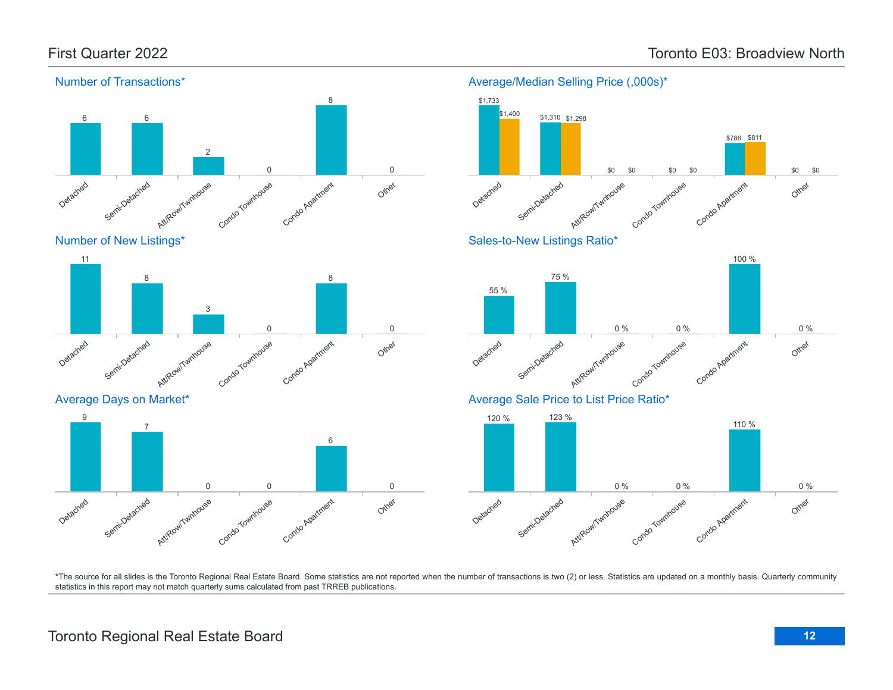\$786 \$811

100 %

110 %

Other

Other

Other

0 %

0 %

\$0

\$0



#### Number of Transactions\*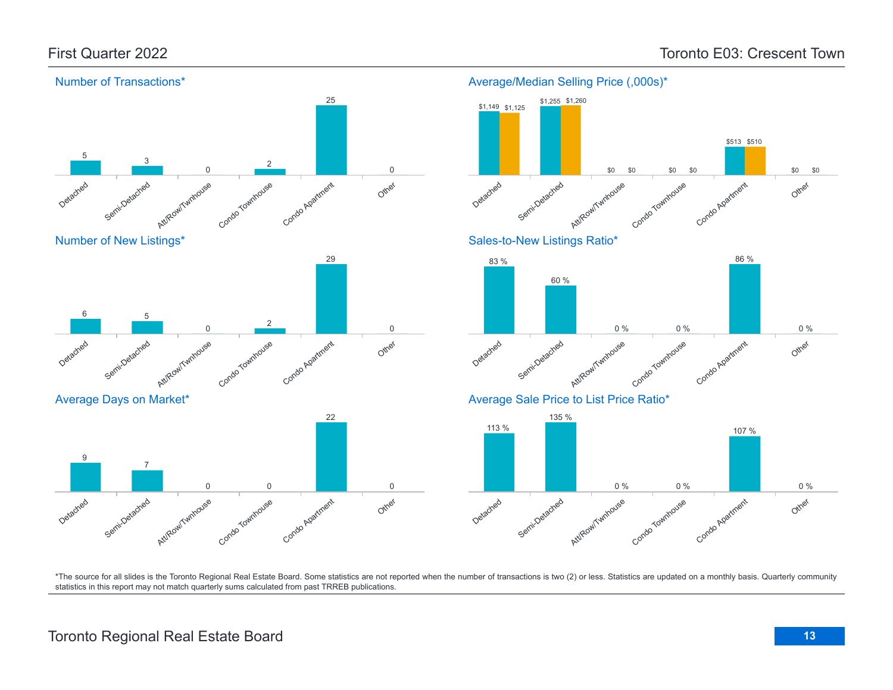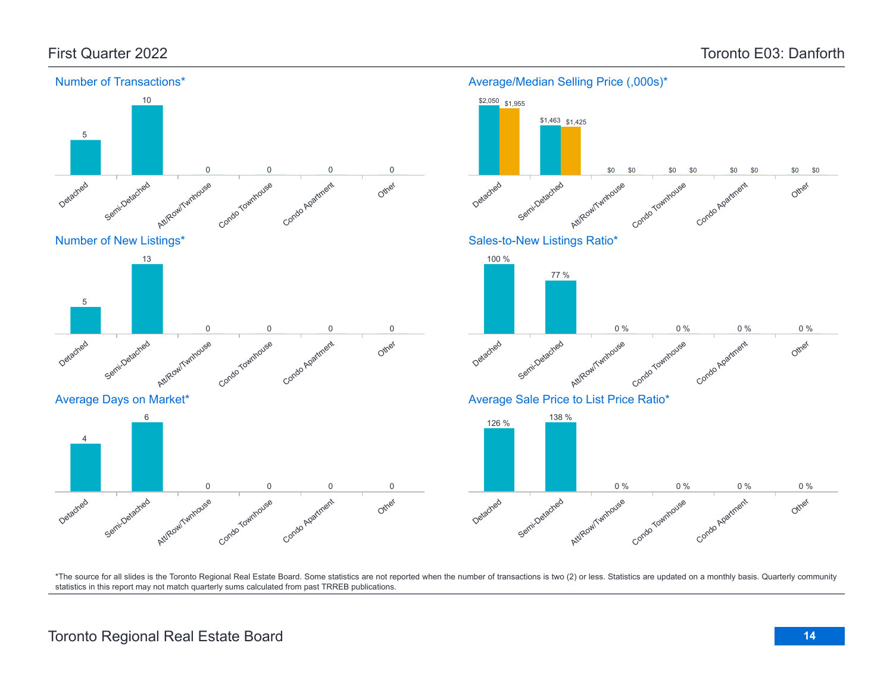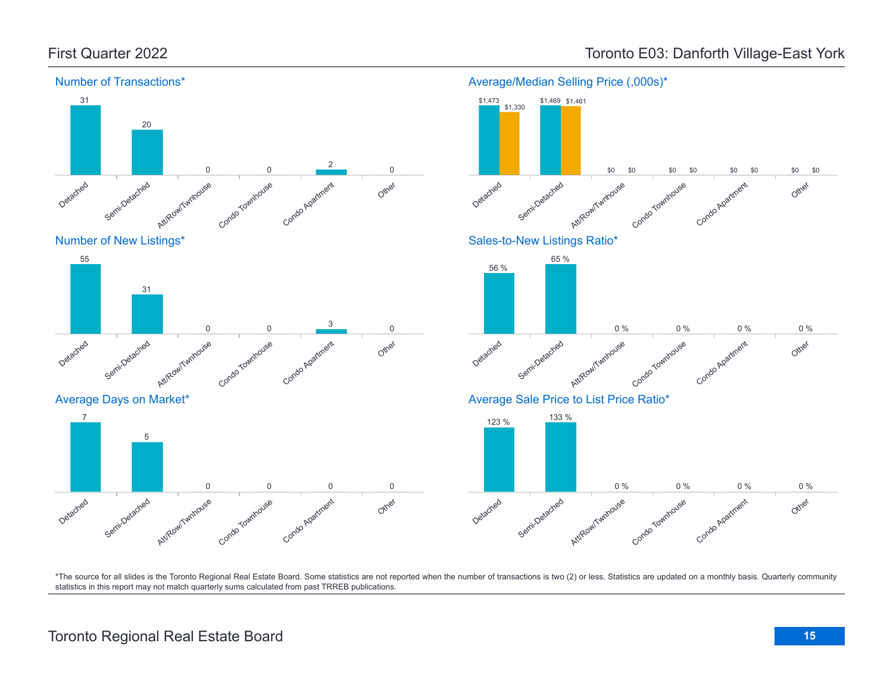

## First Quarter 2022 **Toronto E03: Danforth Village-East York** Toronto E03: Danforth Village-East York

## Toronto Regional Real Estate Board **15**

Other

Other

Other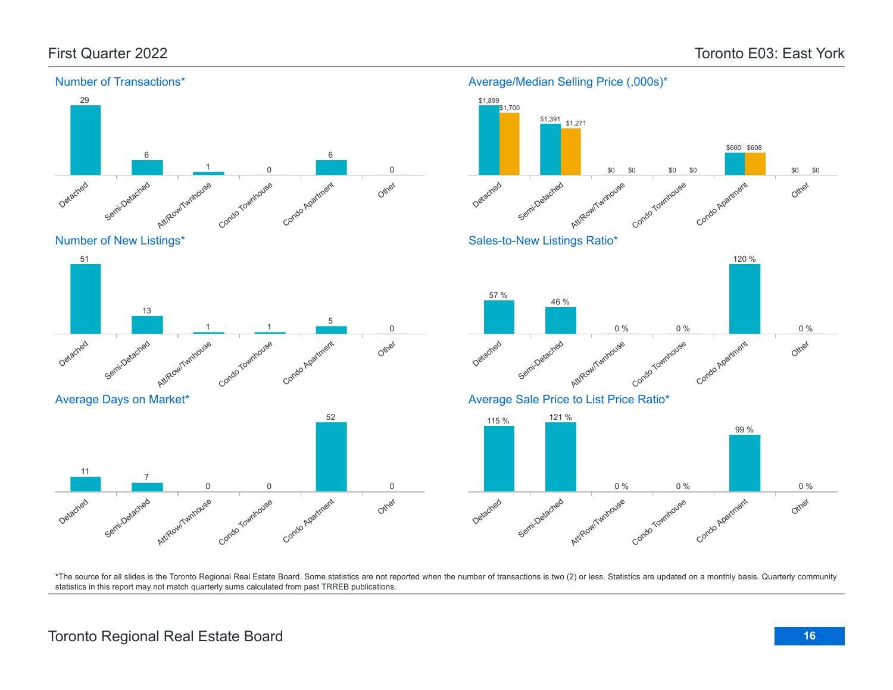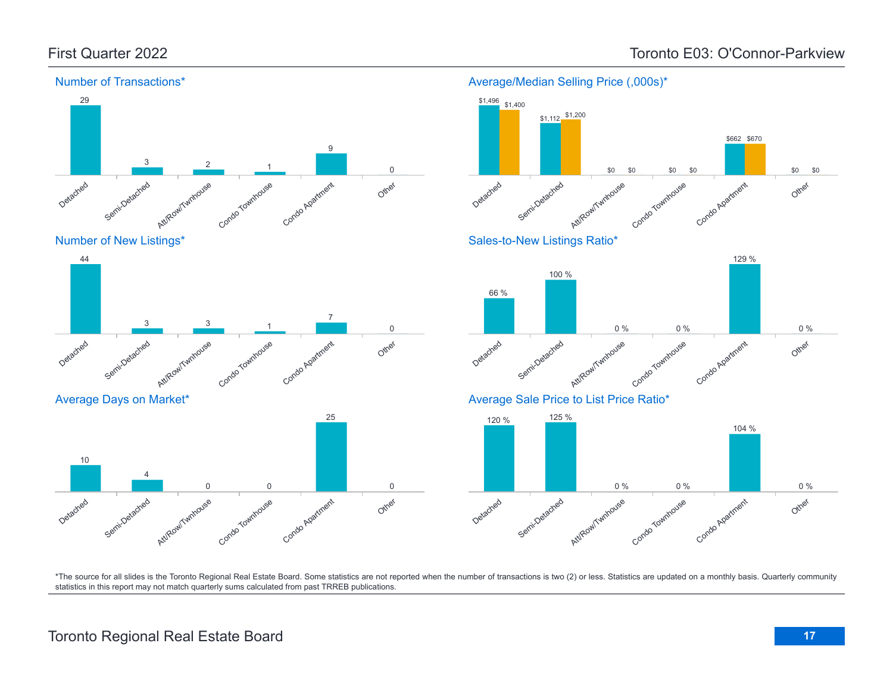

Number of New Listings\*









Average/Median Selling Price (,000s)\*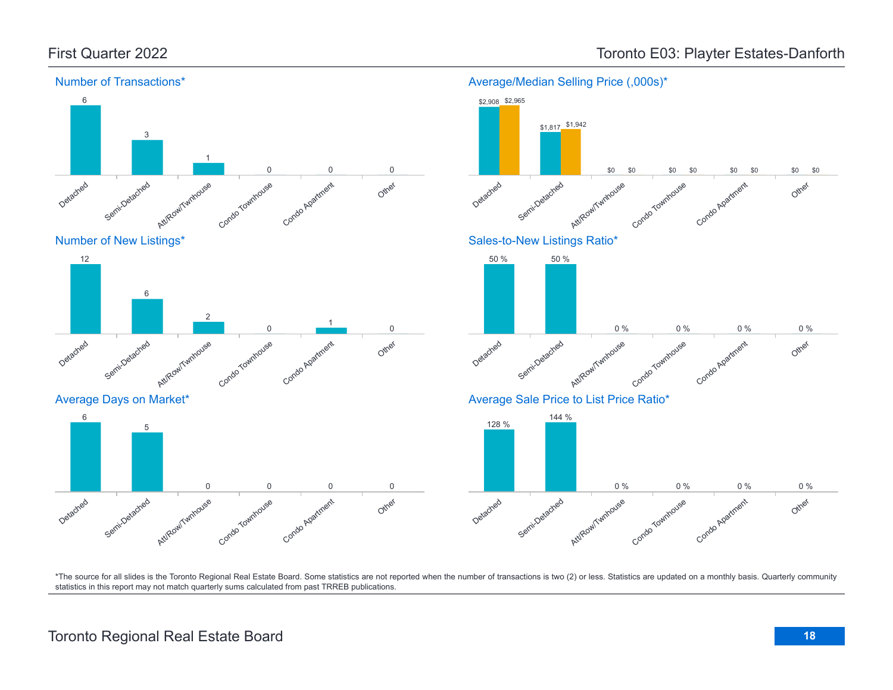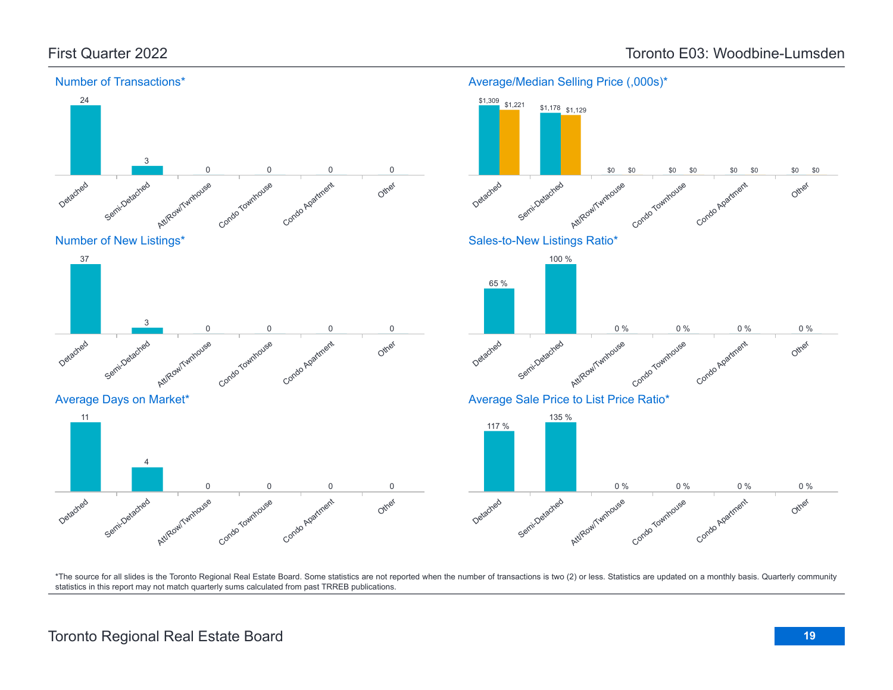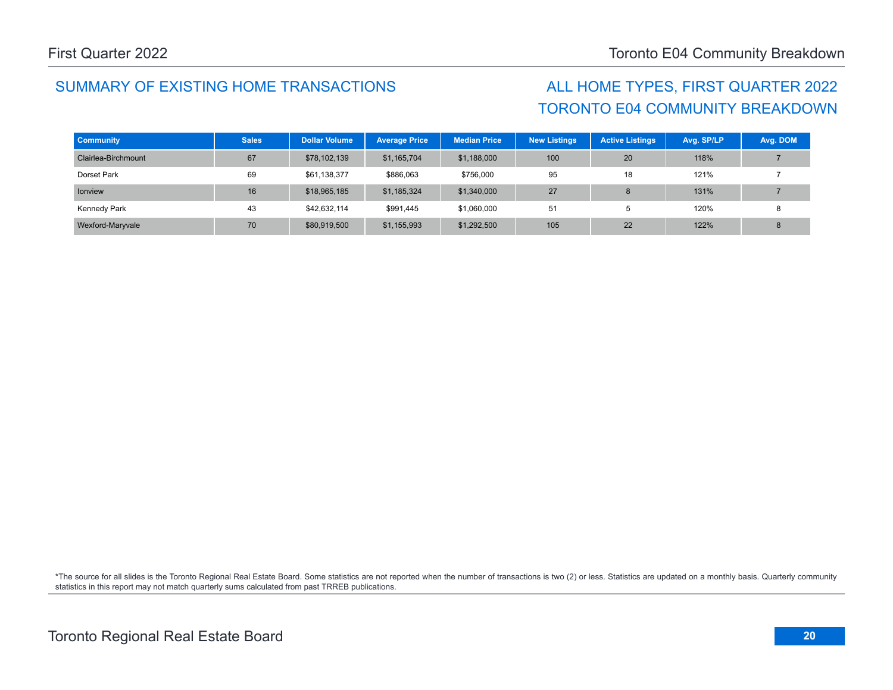# TORONTO E04 COMMUNITY BREAKDOWN

| <b>Community</b>    | <b>Sales</b> | <b>Dollar Volume</b> | <b>Average Price</b> | <b>Median Price</b> | <b>New Listings</b> | <b>Active Listings</b> | Avg. SP/LP | Avg. DOM |
|---------------------|--------------|----------------------|----------------------|---------------------|---------------------|------------------------|------------|----------|
| Clairlea-Birchmount | 67           | \$78,102,139         | \$1,165,704          | \$1,188,000         | 100                 | 20                     | 118%       |          |
| Dorset Park         | 69           | \$61,138,377         | \$886,063            | \$756,000           | 95                  | 18                     | 121%       |          |
| <b>Ionview</b>      | 16           | \$18,965,185         | \$1,185,324          | \$1,340,000         | 27                  |                        | 131%       |          |
| Kennedy Park        | 43           | \$42,632,114         | \$991,445            | \$1,060,000         | 51                  |                        | 120%       |          |
| Wexford-Maryvale    | 70           | \$80,919,500         | \$1,155,993          | \$1,292,500         | 105                 | 22                     | 122%       |          |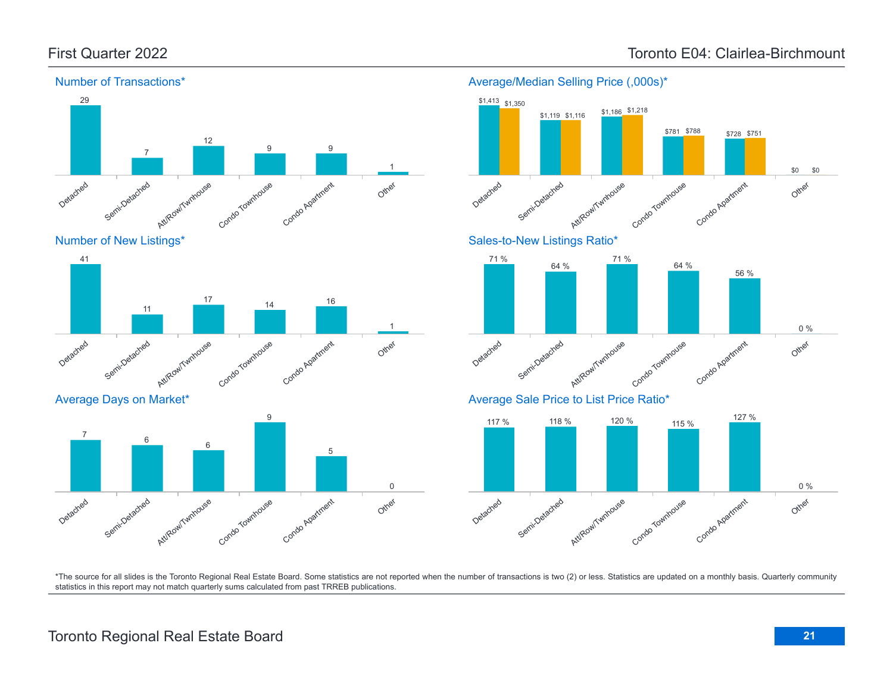Detached

Detached

7

Semi-Detached

Average Days on Market\*

Semi-Detached

11

6

Att/Row/Twnhouse

Att/Row/Twnhouse

17

6



Condo Townhouse

Condo Townhouse

14

9

Condo Apartment

Condo Agatment

16

5

Other

Other

0

1

#### Number of Transactions\*



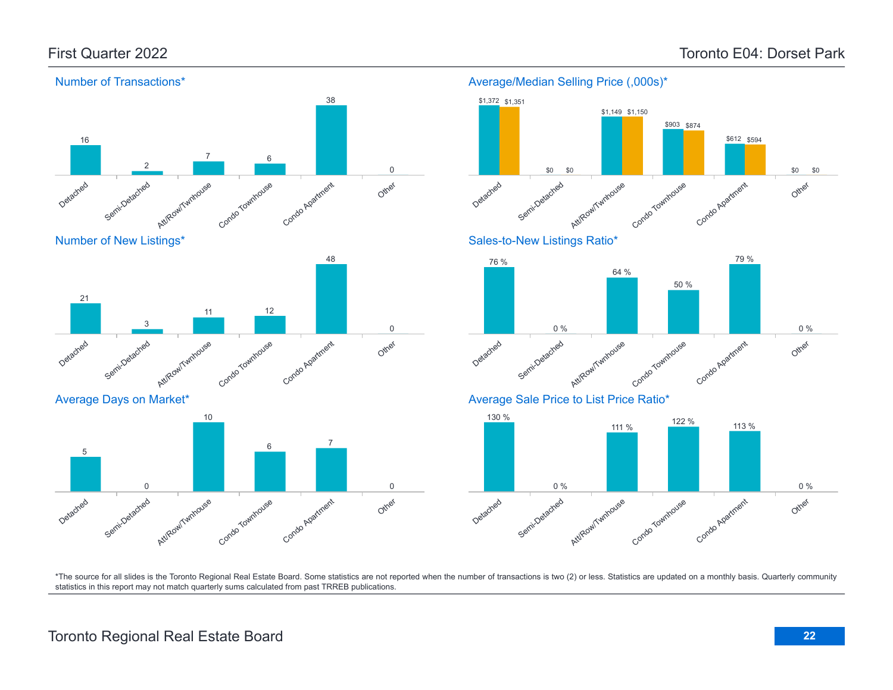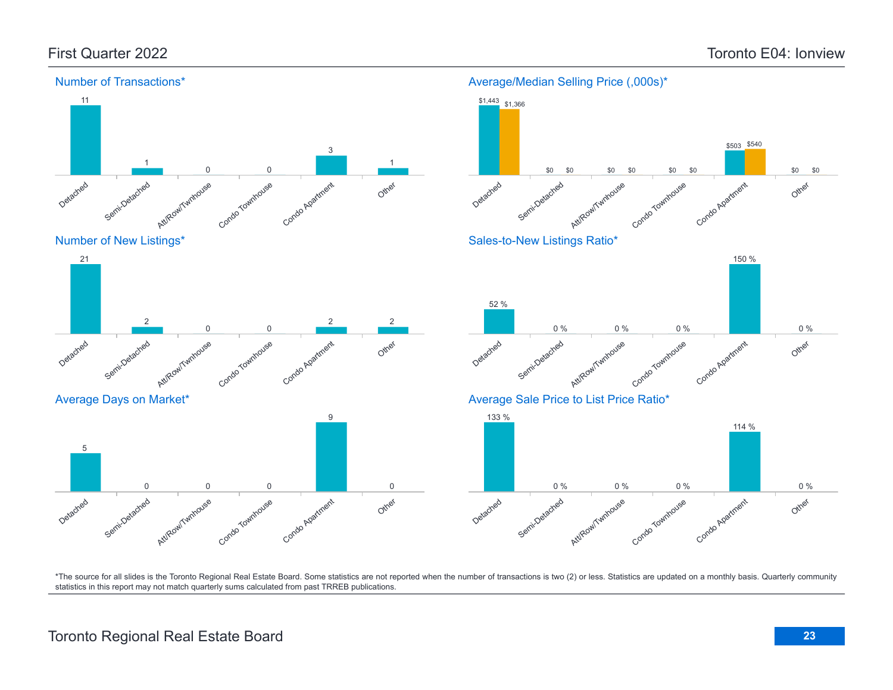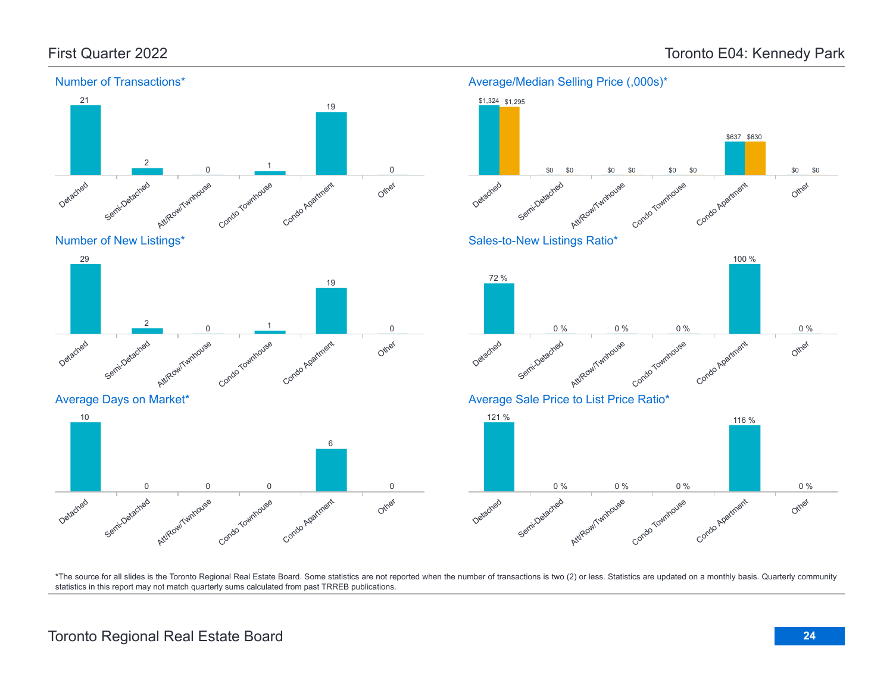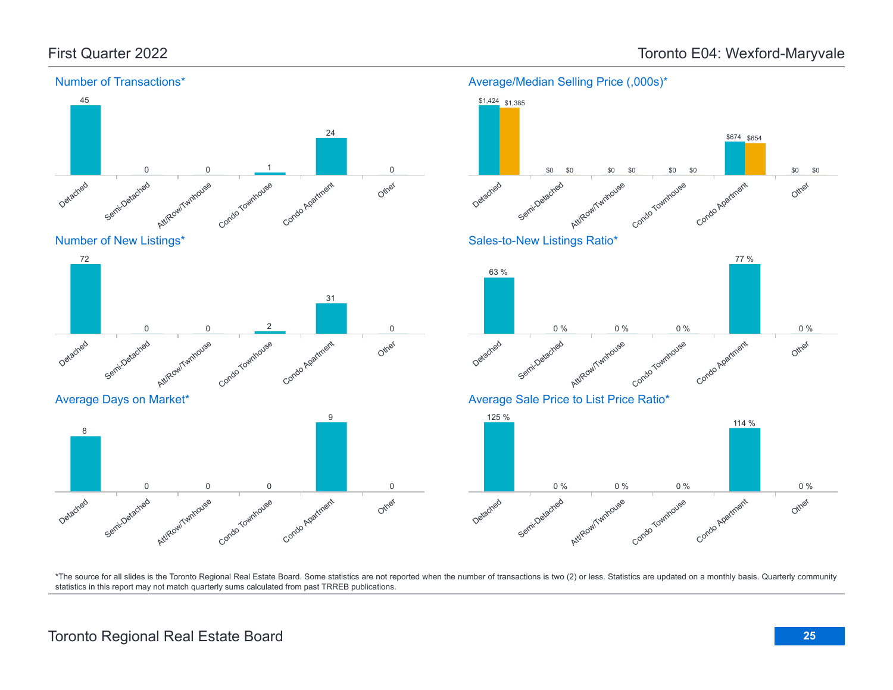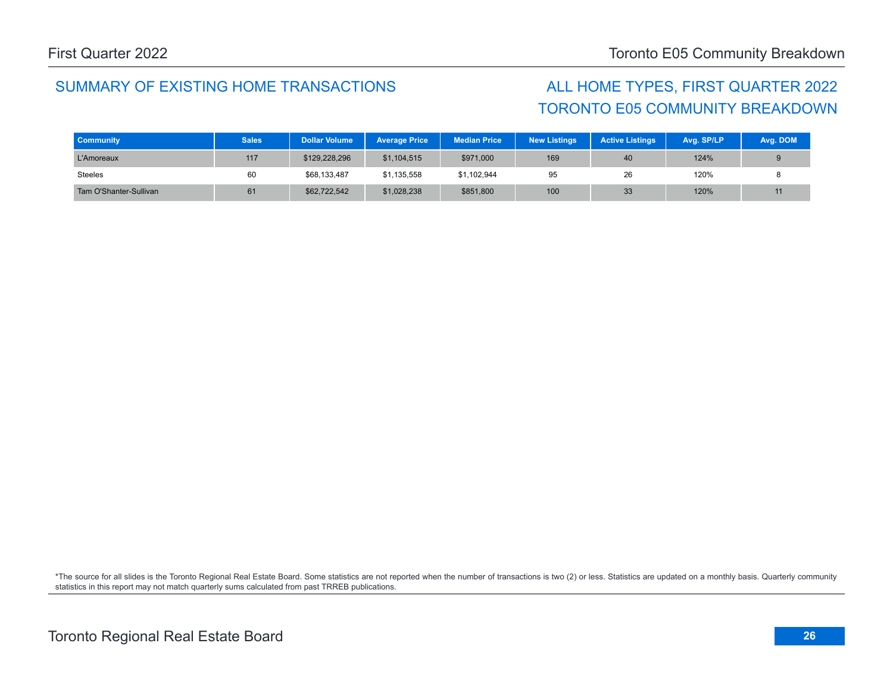# TORONTO E05 COMMUNITY BREAKDOWN

| <b>Community</b>       | <b>Sales</b> | <b>Dollar Volume</b> | <b>Average Price</b> | <b>Median Price</b> | <b>New Listings</b> | <b>Active Listings</b> | Avg. SP/LP | Avg. DOM |
|------------------------|--------------|----------------------|----------------------|---------------------|---------------------|------------------------|------------|----------|
| L'Amoreaux             | 117          | \$129,228,296        | \$1,104,515          | \$971,000           | 169                 | 40                     | 124%       |          |
| <b>Steeles</b>         | 60           | \$68,133,487         | \$1,135,558          | \$1,102,944         | 95                  | 26                     | 120%       |          |
| Tam O'Shanter-Sullivan | 61           | \$62,722,542         | \$1,028,238          | \$851,800           | 100                 | 33                     | 120%       |          |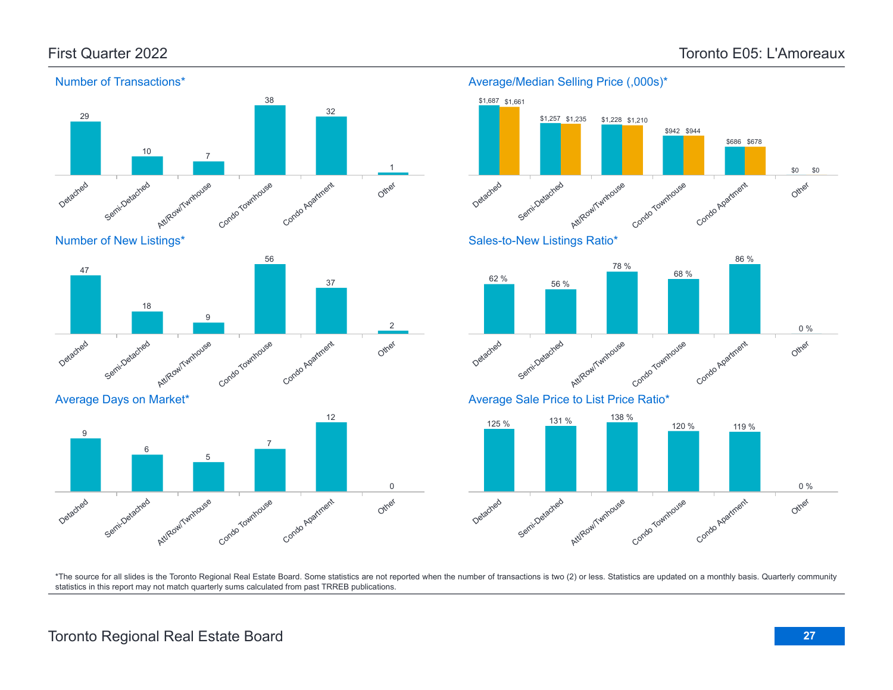Other

\$0

\$0



### Number of New Listings\*



### Average Days on Market\*



### Average/Median Selling Price (,000s)\* Detached Semi-Detached Attikow/Twnhouse Condo Townhouse Condo Apatment \$1,687 \$1,661 \$1,257 \$1,228 \$942 \$944 \$686 \$678 \$1,235 \$1,210 Sales-to-New Listings Ratio\* 86 %



### Average Sale Price to List Price Ratio\*

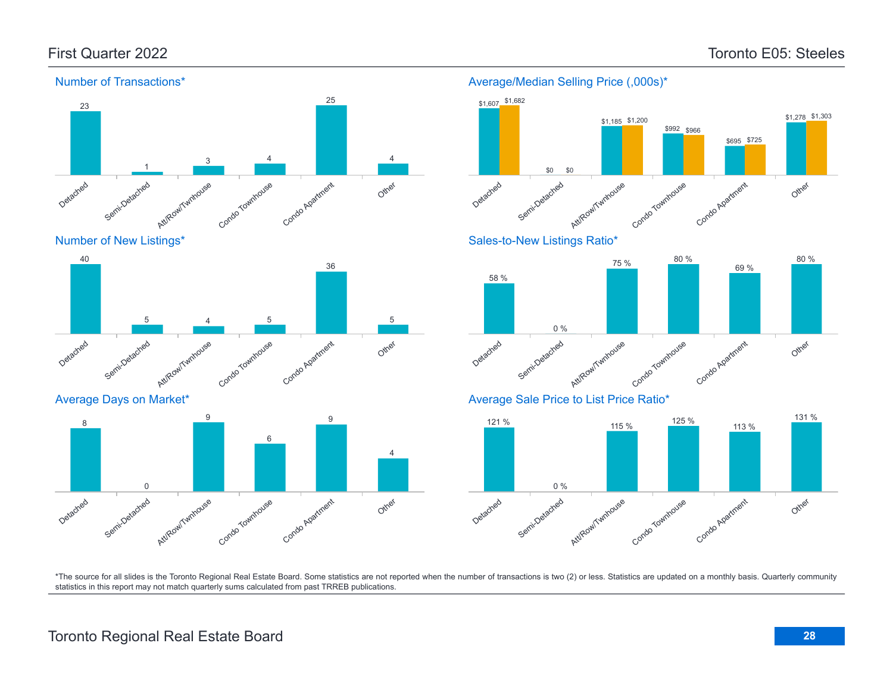

Number of New Listings\*



Average Days on Market\*



### Average/Median Selling Price (,000s)\*



Sales-to-New Listings Ratio\*



Average Sale Price to List Price Ratio\*

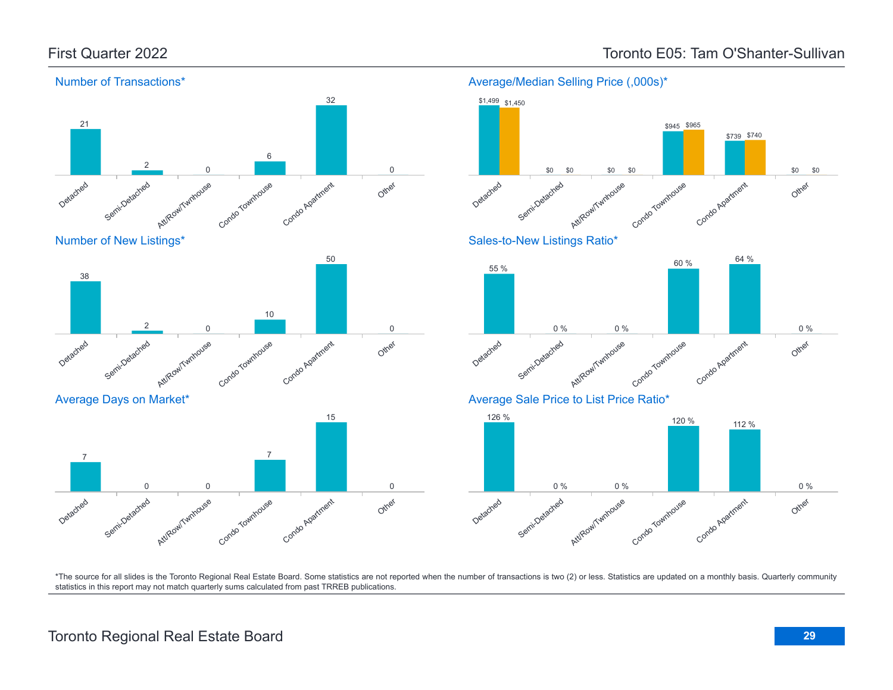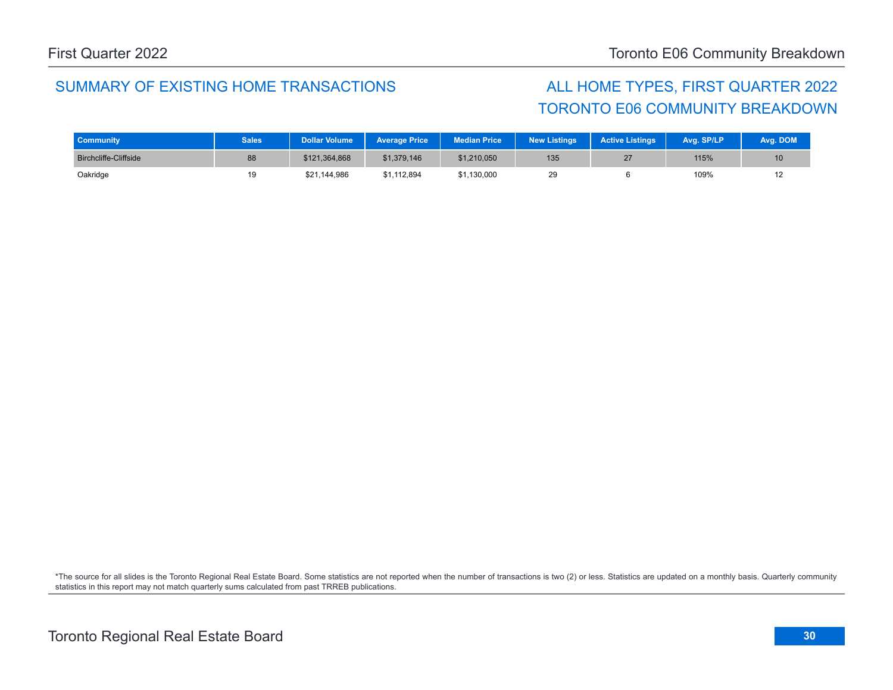# TORONTO E06 COMMUNITY BREAKDOWN

| <b>Community</b>             | <b>Sales</b> | Dollar Volume <sup>'</sup> | <b>Average Price</b> | <b>Median Price</b> | <b>New Listings</b> | <b>Active Listings</b> | Avg. SP/LP | Avg. DOM |
|------------------------------|--------------|----------------------------|----------------------|---------------------|---------------------|------------------------|------------|----------|
| <b>Birchcliffe-Cliffside</b> | 88           | \$121,364,868              | \$1,379,146          | \$1,210,050         | 135                 | 27                     | 115%       |          |
| Oakridge                     | 19           | \$21,144,986               | \$1.112.894          | \$1,130,000         | 29                  |                        | 109%       |          |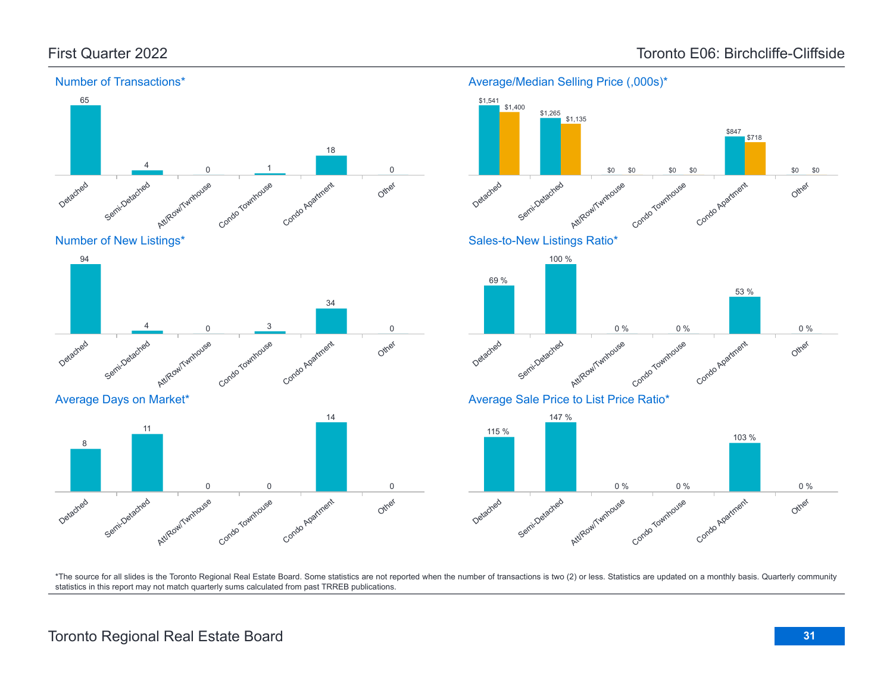

#### Number of Transactions\*





\*The source for all slides is the Toronto Regional Real Estate Board. Some statistics are not reported when the number of transactions is two (2) or less. Statistics are updated on a monthly basis. Quarterly community statistics in this report may not match quarterly sums calculated from past TRREB publications.

Other

0

Att/Row/Twnhouse

Condo Townhouse

0 0

Condo Apartment

Detached

8

Semi-Detached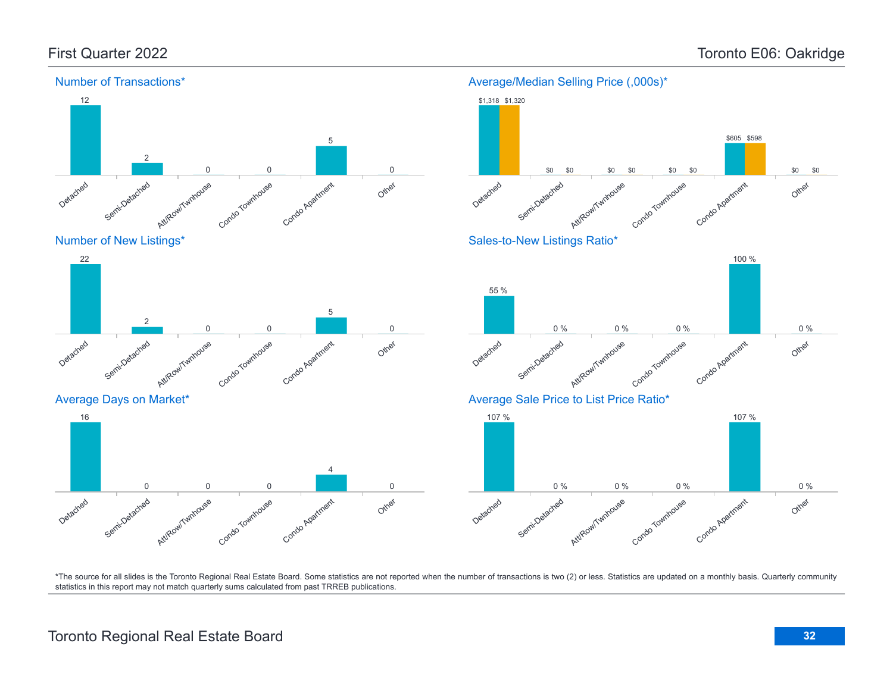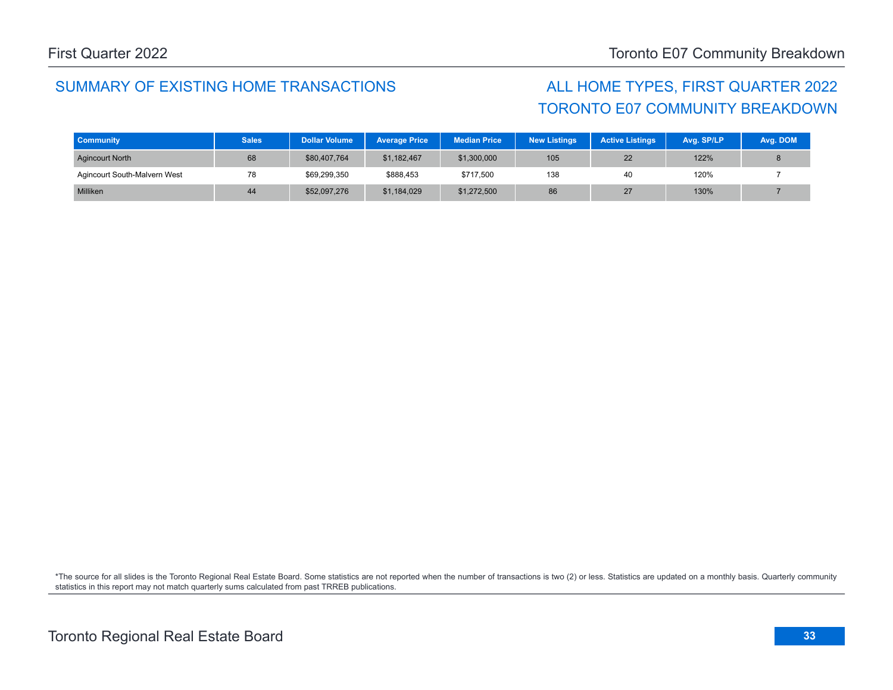# TORONTO E07 COMMUNITY BREAKDOWN

| <b>Community</b>             | <b>Sales</b> | <b>Dollar Volume</b> | <b>Average Price</b> | <b>Median Price</b> | <b>New Listings</b> | <b>Active Listings</b> | Avg. SP/LP | Avg. DOM |
|------------------------------|--------------|----------------------|----------------------|---------------------|---------------------|------------------------|------------|----------|
| <b>Agincourt North</b>       | 68           | \$80,407,764         | \$1,182,467          | \$1,300,000         | 105                 | 22                     | 122%       |          |
| Agincourt South-Malvern West | 78           | \$69,299,350         | \$888.453            | \$717,500           | 138                 | 40                     | 120%       |          |
| Milliken                     | 44           | \$52,097,276         | \$1,184,029          | \$1,272,500         | 86                  | 27                     | 130%       |          |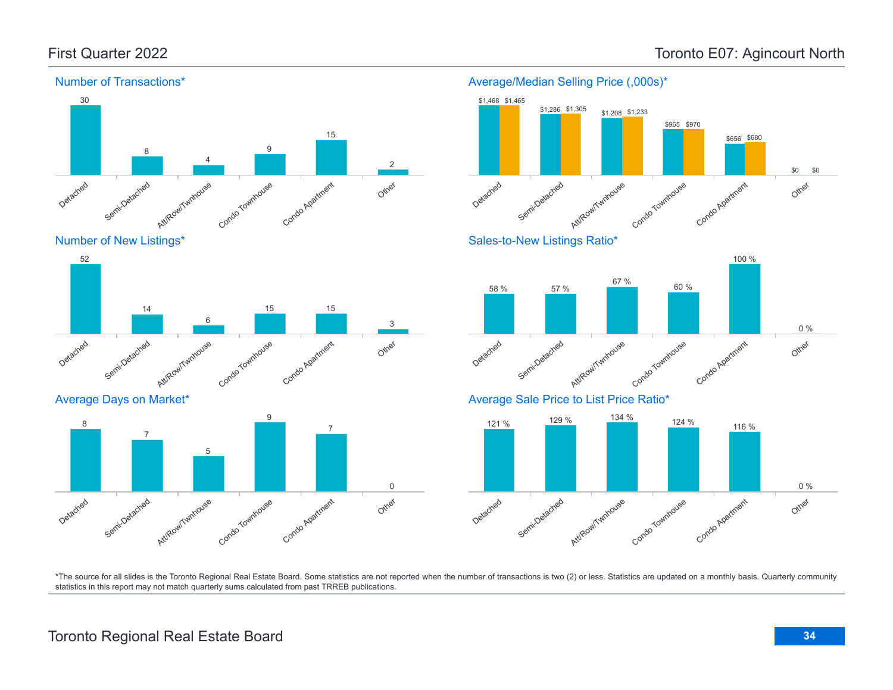

### Number of New Listings\*



Average Days on Market\*



#### Average/Median Selling Price (,000s)\* \$1,468 \$1,465 \$1,286 \$1,305 \$1,208 \$1,233



### Sales-to-New Listings Ratio\*



### Average Sale Price to List Price Ratio\*

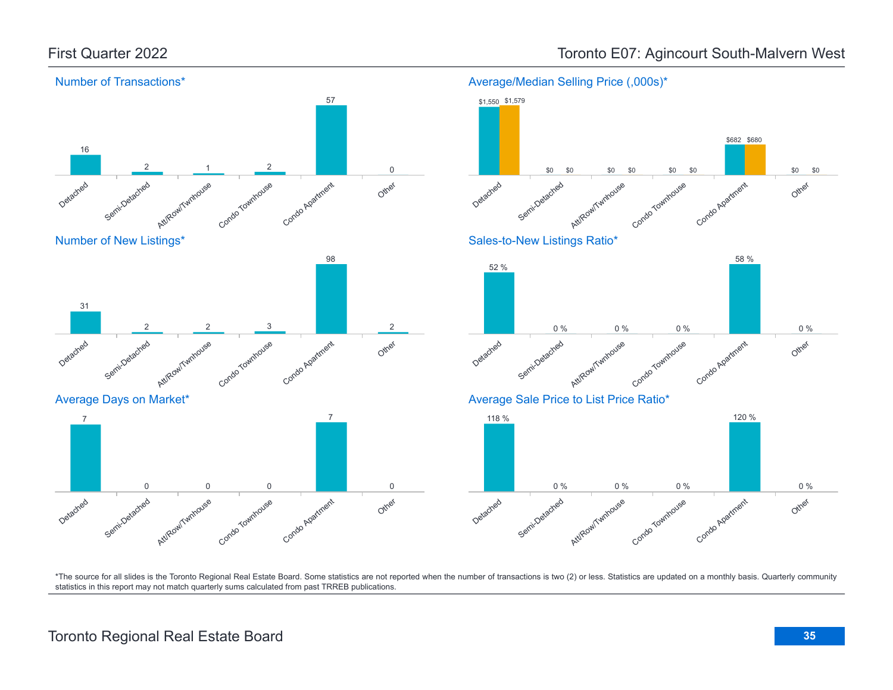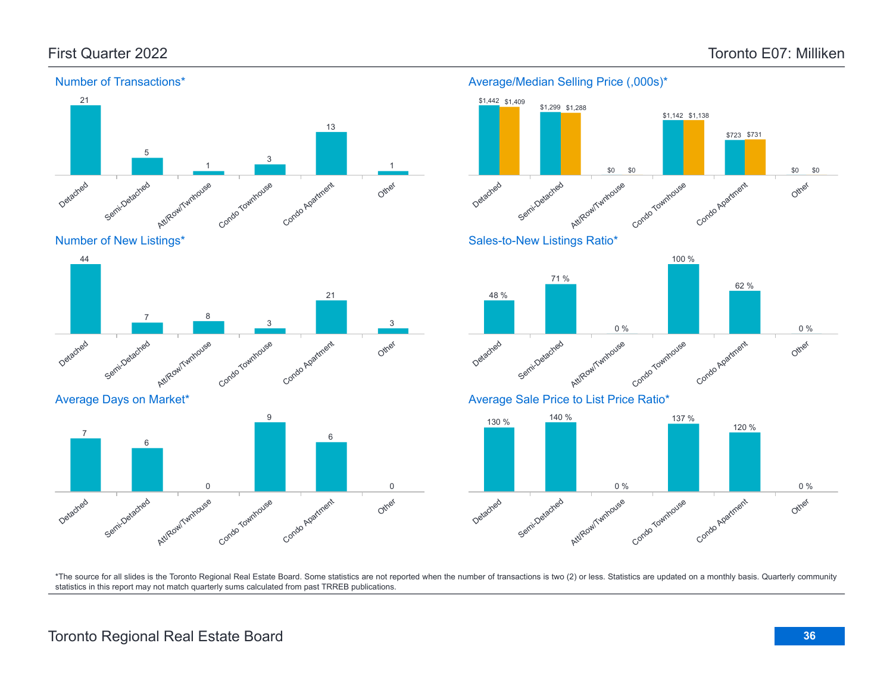Other

Other

Other

0 %

0 %

\$0

\$0

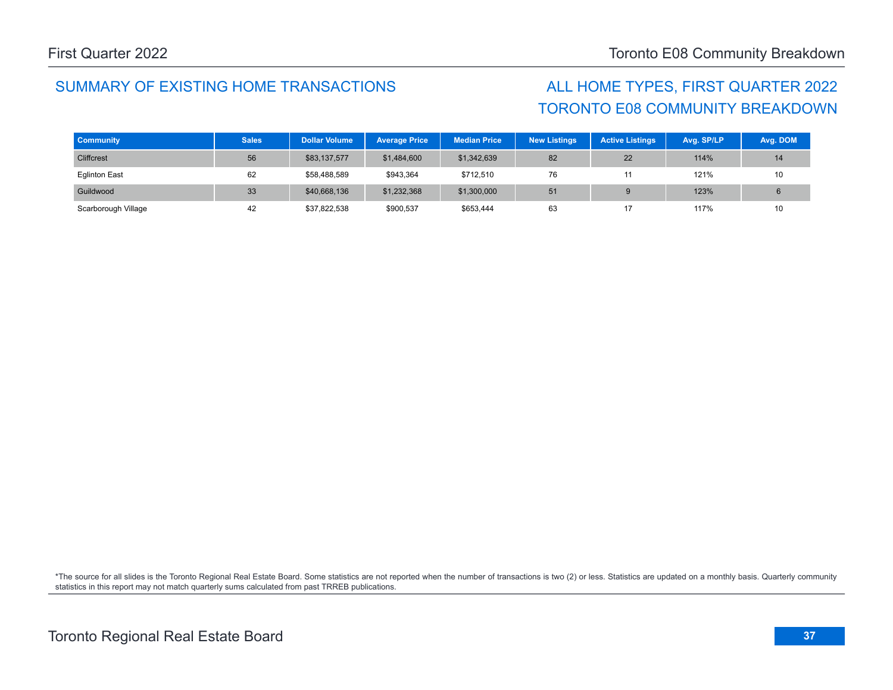# TORONTO E08 COMMUNITY BREAKDOWN

| <b>Community</b>     | <b>Sales</b> | <b>Dollar Volume</b> | <b>Average Price</b> | <b>Median Price</b> | <b>New Listings</b> | <b>Active Listings</b> | Avg. SP/LP | Avg. DOM |
|----------------------|--------------|----------------------|----------------------|---------------------|---------------------|------------------------|------------|----------|
| Cliffcrest           | 56           | \$83,137,577         | \$1,484,600          | \$1,342,639         | 82                  | 22                     | 114%       | 14       |
| <b>Eglinton East</b> | 62           | \$58,488,589         | \$943,364            | \$712,510           | 76                  | 11                     | 121%       | 10       |
| Guildwood            | 33           | \$40,668,136         | \$1,232,368          | \$1,300,000         | 51                  |                        | 123%       |          |
| Scarborough Village  | 42           | \$37,822,538         | \$900,537            | \$653,444           | 63                  | 17                     | 117%       | 10       |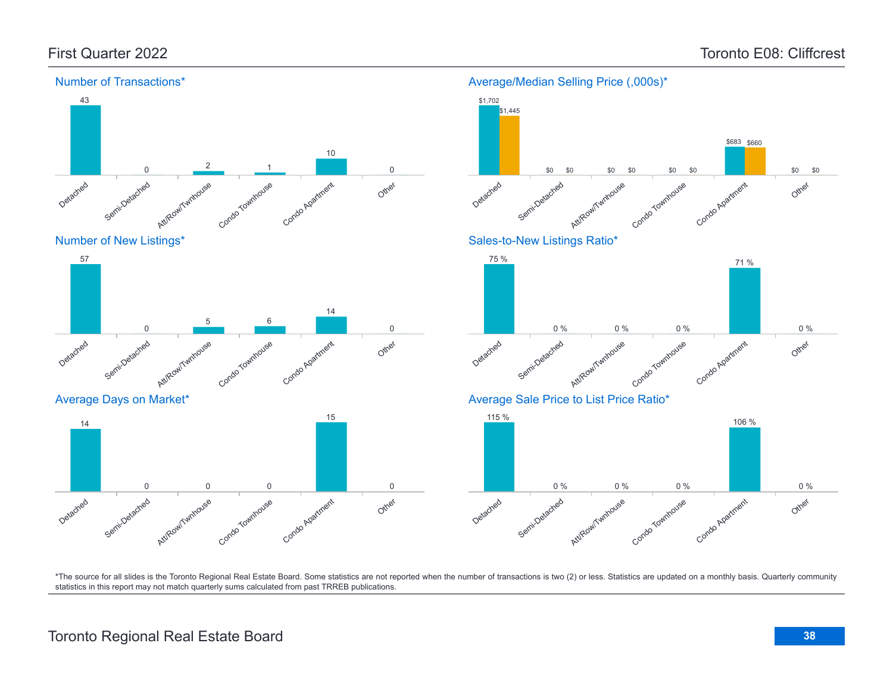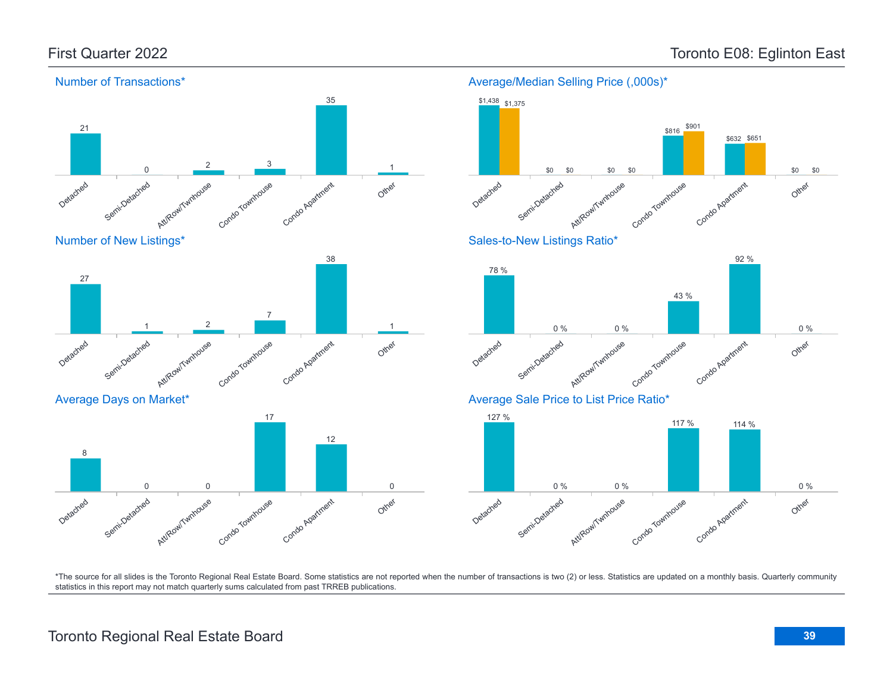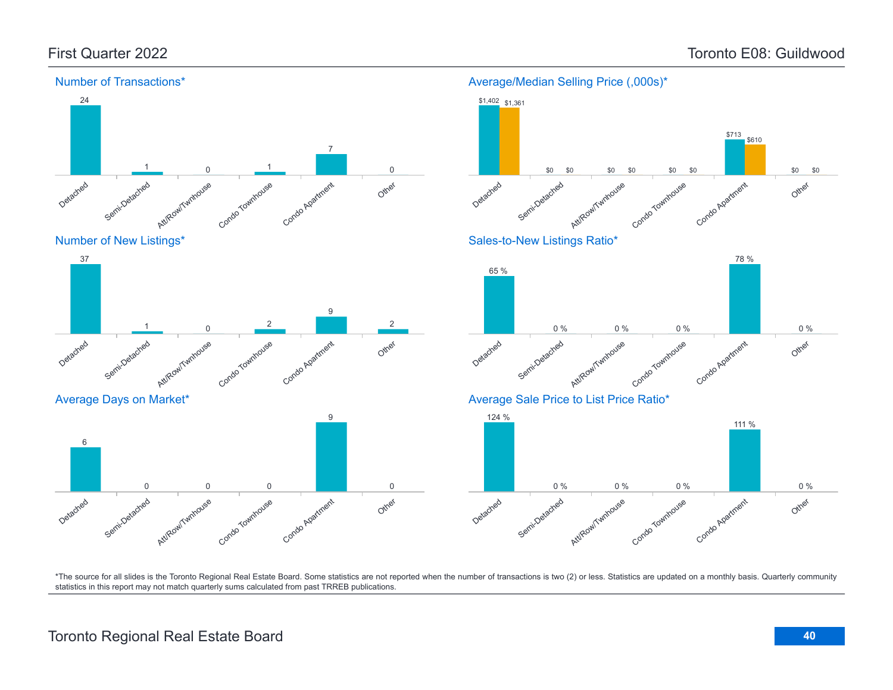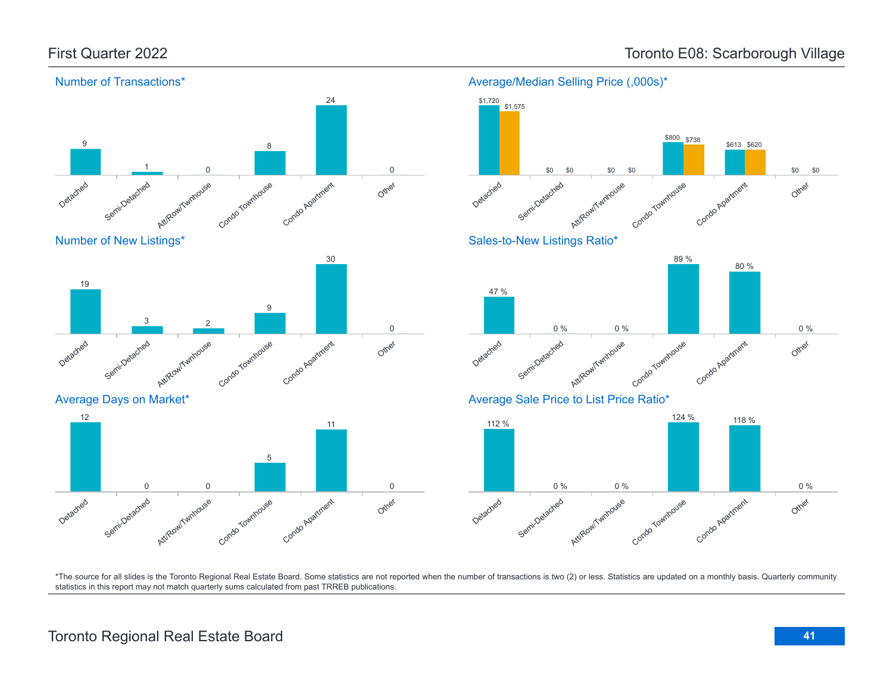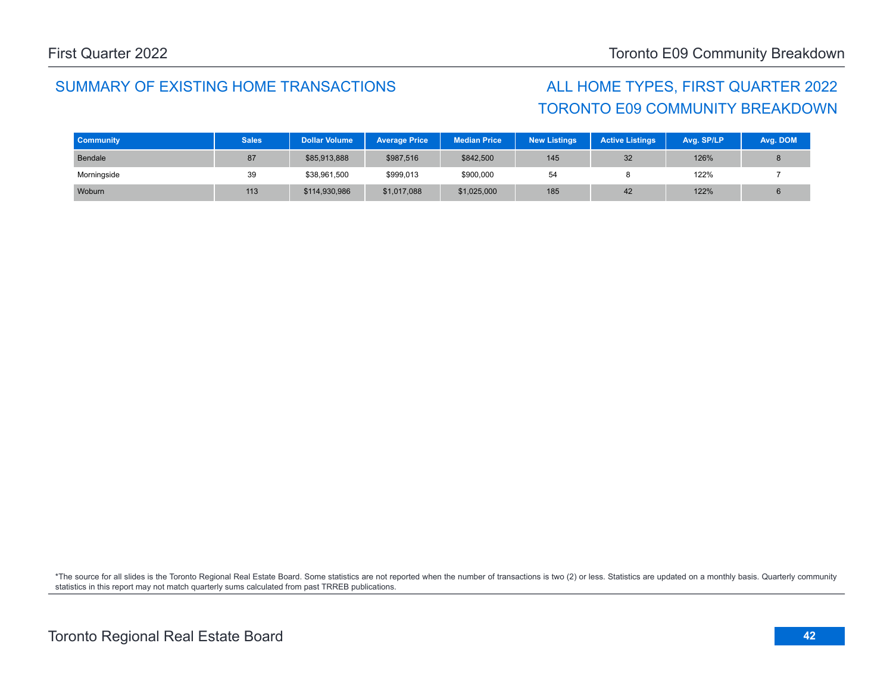# TORONTO E09 COMMUNITY BREAKDOWN

| <b>Community</b> | <b>Sales</b> | <b>Dollar Volume</b> | <b>Average Price</b> | <b>Median Price</b> | <b>New Listings</b> | <b>Active Listings</b> | Avg. SP/LP | Avg. DOM |
|------------------|--------------|----------------------|----------------------|---------------------|---------------------|------------------------|------------|----------|
| Bendale          | 87           | \$85,913,888         | \$987,516            | \$842,500           | 145                 | 32                     | 126%       |          |
| Morningside      | 39           | \$38,961,500         | \$999,013            | \$900,000           | 54                  |                        | 122%       |          |
| Woburn           | 113          | \$114,930,986        | \$1,017,088          | \$1,025,000         | 185                 | 42                     | 122%       |          |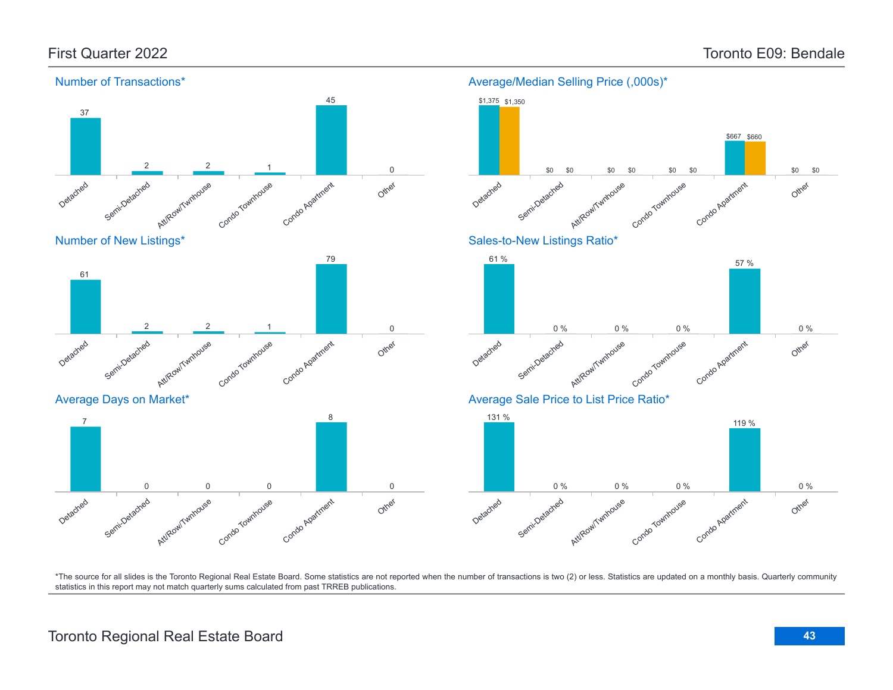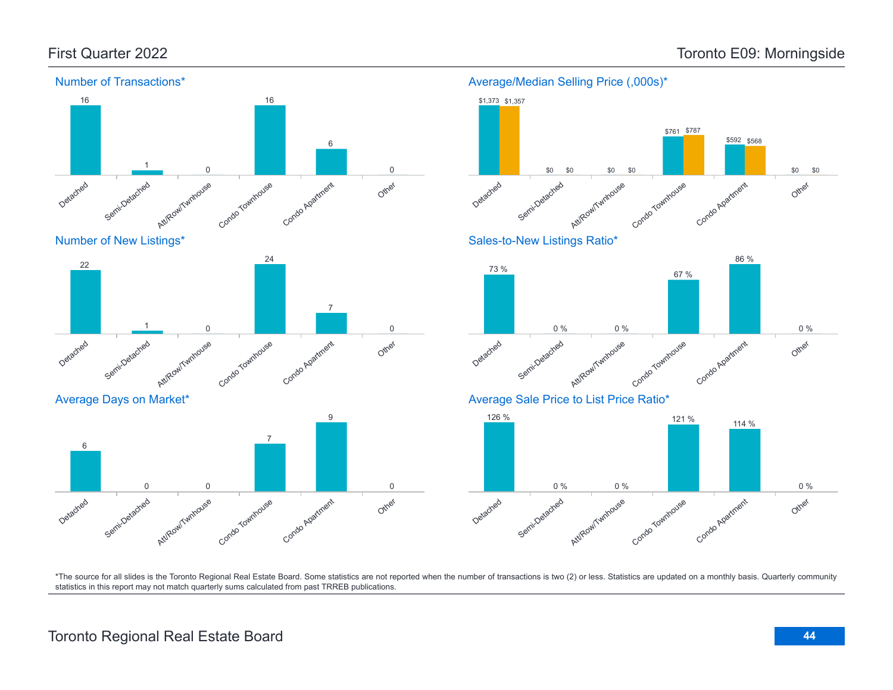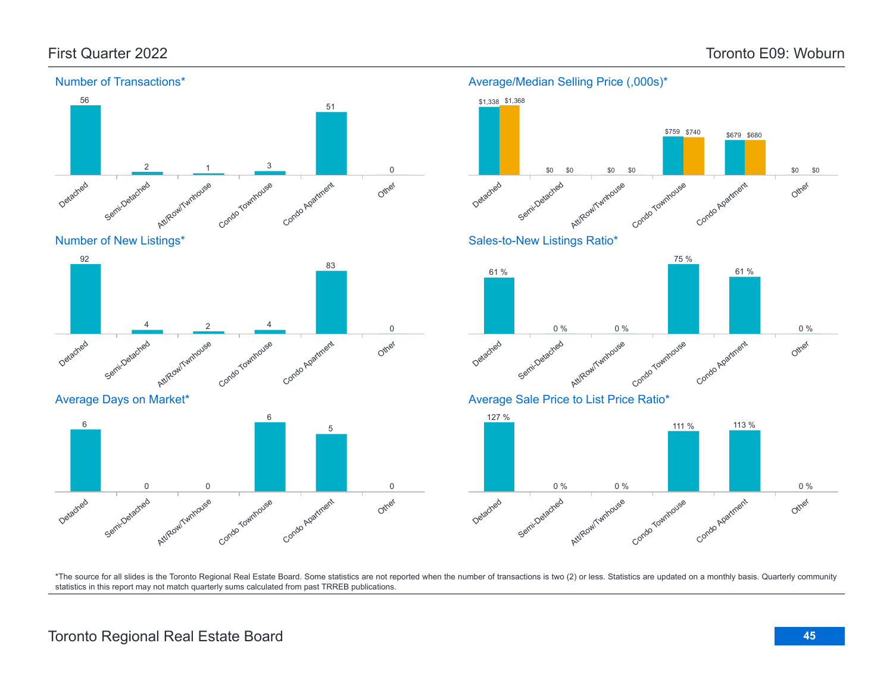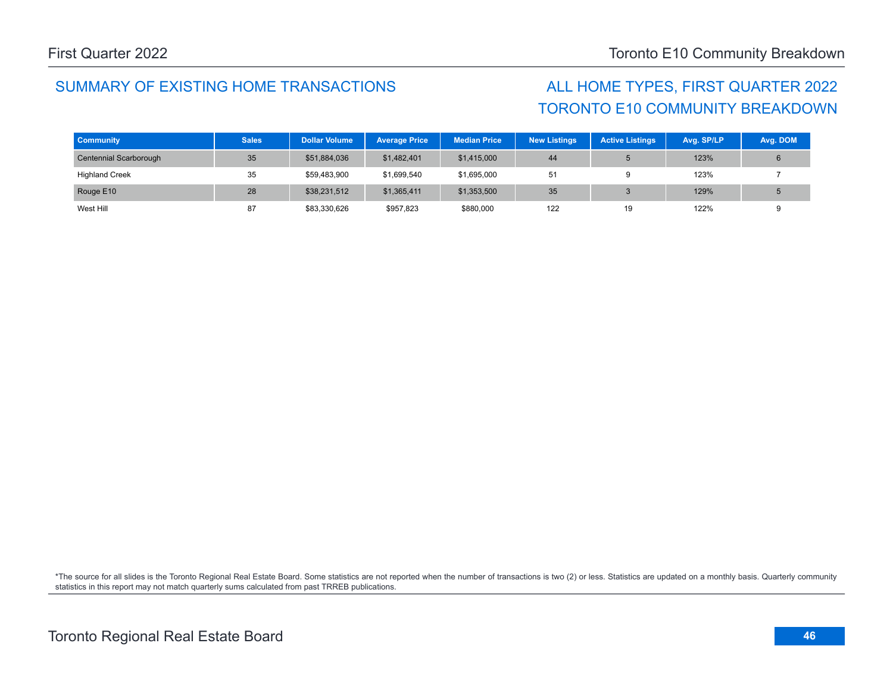# TORONTO E10 COMMUNITY BREAKDOWN

| <b>Community</b>       | <b>Sales</b> | <b>Dollar Volume</b> | <b>Average Price</b> | <b>Median Price</b> | <b>New Listings</b> | <b>Active Listings</b> | Avg. SP/LP | Avg. DOM |
|------------------------|--------------|----------------------|----------------------|---------------------|---------------------|------------------------|------------|----------|
| Centennial Scarborough | 35           | \$51,884,036         | \$1,482,401          | \$1,415,000         | 44                  |                        | 123%       |          |
| <b>Highland Creek</b>  | 35           | \$59,483,900         | \$1,699,540          | \$1,695,000         | 51                  |                        | 123%       |          |
| Rouge E10              | 28           | \$38,231,512         | \$1,365,411          | \$1,353,500         | 35                  |                        | 129%       |          |
| West Hill              | 87           | \$83,330,626         | \$957,823            | \$880,000           | 122                 | 19                     | 122%       |          |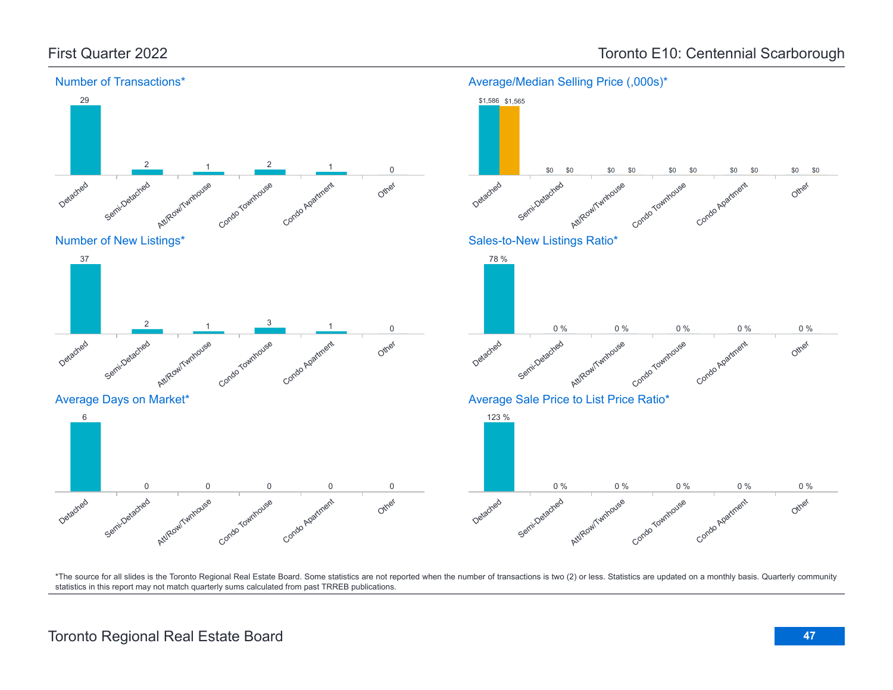

First Quarter 2022 **Toronto E10: Centennial Scarborough** Toronto E10: Centennial Scarborough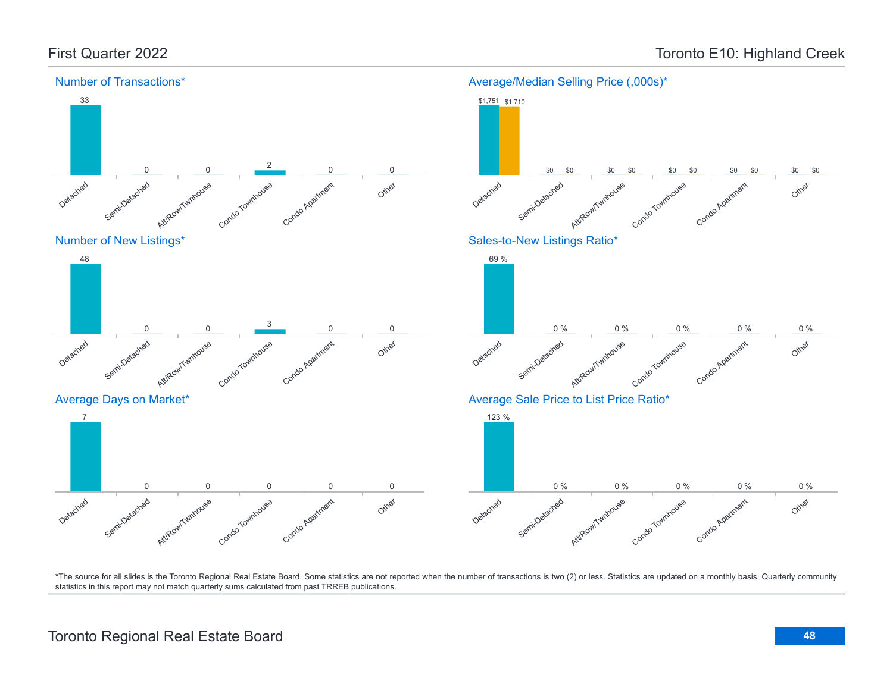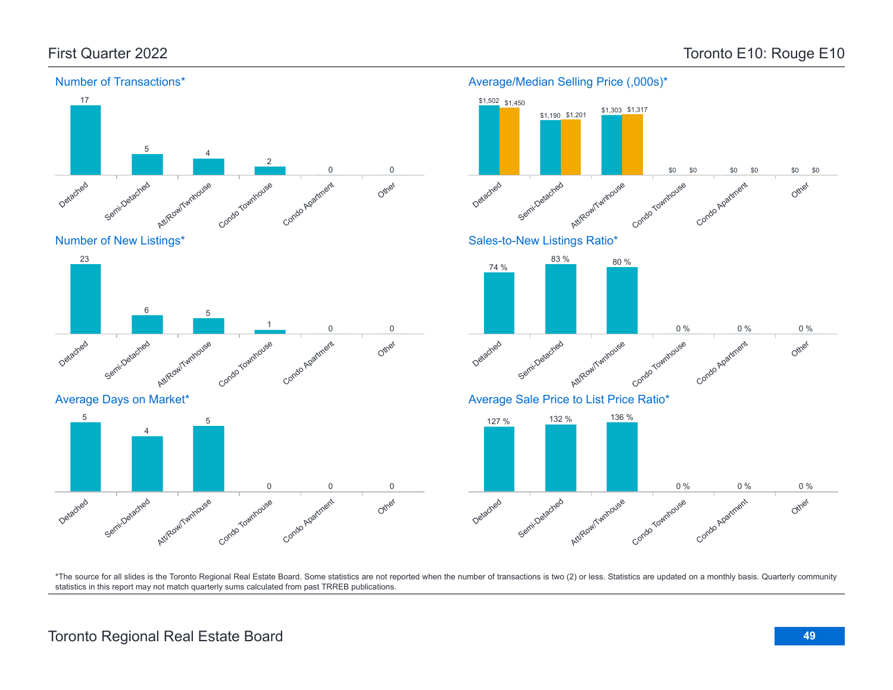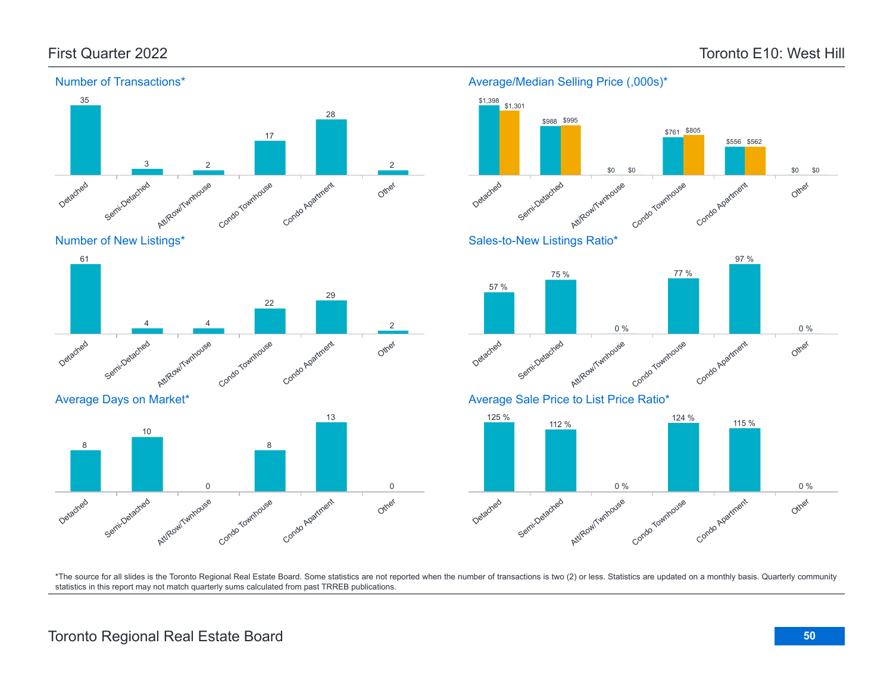Other

\$0

\$0



#### Number of Transactions\*



Average Days on Market\*





Average/Median Selling Price (,000s)\*

#### Sales-to-New Listings Ratio\*



### Average Sale Price to List Price Ratio\*

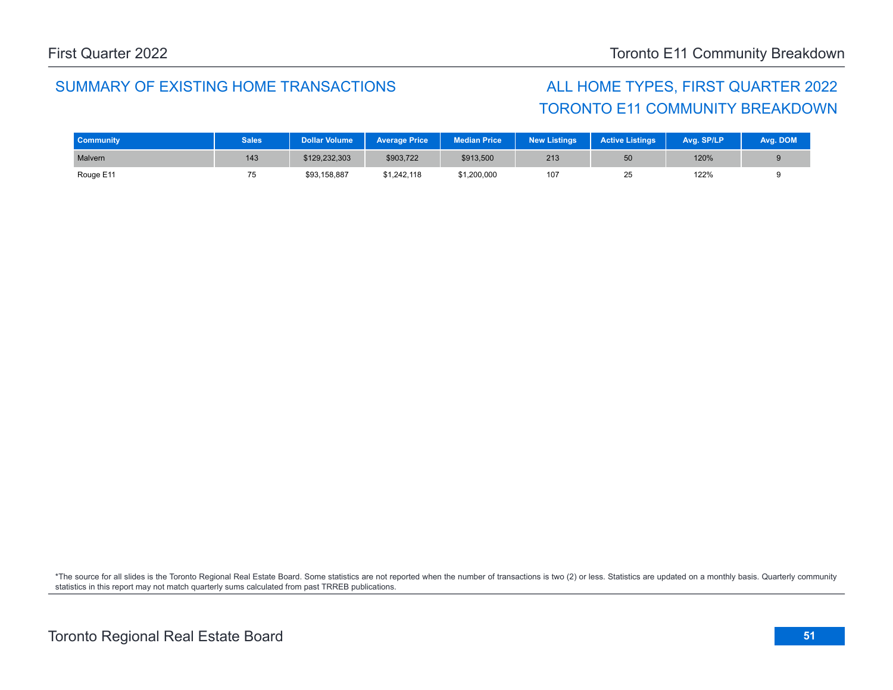# TORONTO E11 COMMUNITY BREAKDOWN

| <b>Community</b> | <b>Sales</b> | <b>Dollar Volume</b> | <b>Average Price</b> | <b>Median Price</b> | <b>New Listings</b> | <b>Active Listings</b> | Avg. SP/LP | Avg. DOM |
|------------------|--------------|----------------------|----------------------|---------------------|---------------------|------------------------|------------|----------|
| Malvern          | 143          | \$129,232,303        | \$903,722            | \$913,500           | 213                 | 50                     | 120%       |          |
| Rouge E11        |              | \$93,158,887         | \$1,242,118          | \$1,200,000         | 107                 | 25                     | 122%       |          |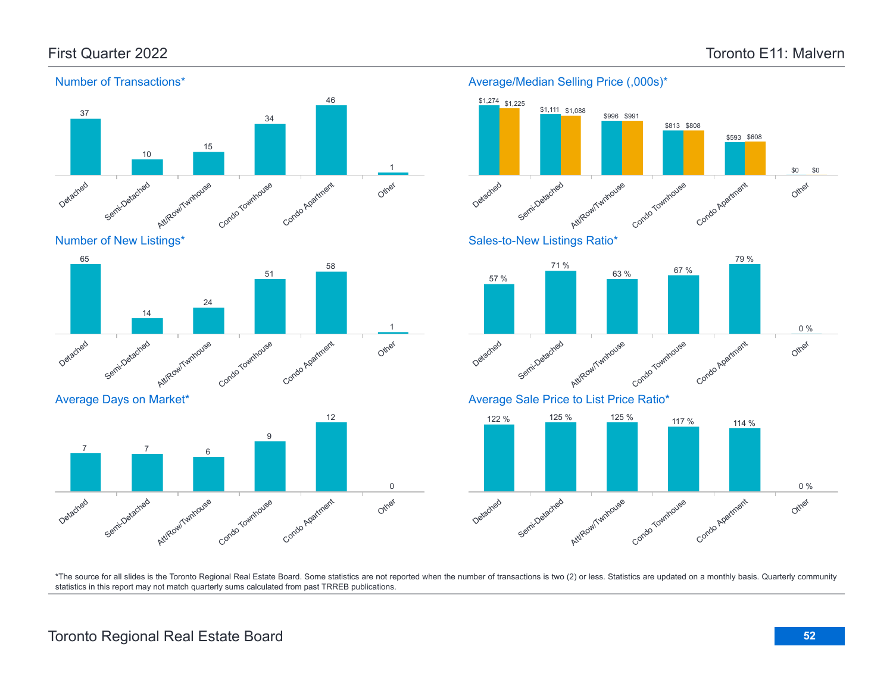\$593 \$608

79 %

Other

Other

Other

0 %

0 %

\$0 \$0



\*The source for all slides is the Toronto Regional Real Estate Board. Some statistics are not reported when the number of transactions is two (2) or less. Statistics are updated on a monthly basis. Quarterly community statistics in this report may not match quarterly sums calculated from past TRREB publications.

## Toronto Regional Real Estate Board **52**